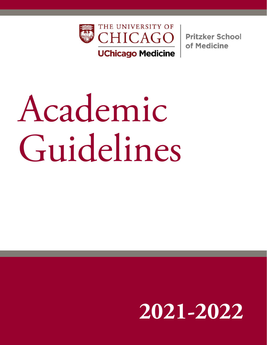

**Pritzker School** of Medicine

# Academic Guidelines

# **201-2022**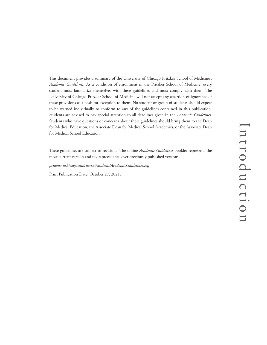This document provides a summary of the University of Chicago Pritzker School of Medicine's *Academic Guidelines.* As a condition of enrollment in the Pritzker School of Medicine, every student must familiarize themselves with these guidelines and must comply with them. The University of Chicago Pritzker School of Medicine will not accept any assertion of ignorance of these provisions as a basis for exception to them. No student or group of students should expect to be warned individually to conform to any of the guidelines contained in this publication. Students are advised to pay special attention to all deadlines given in the *Academic Guidelines.*  Students who have questions or concerns about these guidelines should bring them to the Dean for Medical Education, the Associate Dean for Medical School Academics, or the Associate Dean for Medical School Education.

These guidelines are subject to revision. The online *Academic Guidelines* booklet represents the most current version and takes precedence over previously published versions:

*pritzker.uchicago.edu/current/students/AcademicGuidelines.pdf*

Print Publication Date: October 27, 2021.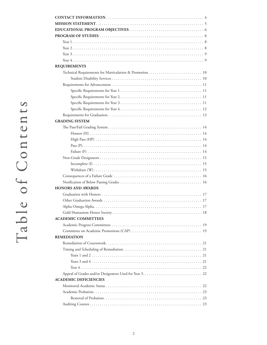| <b>REQUIREMENTS</b>                                      |  |
|----------------------------------------------------------|--|
| Technical Requirements for Matriculation & Promotion  10 |  |
|                                                          |  |
|                                                          |  |
|                                                          |  |
|                                                          |  |
|                                                          |  |
|                                                          |  |
|                                                          |  |
| <b>GRADING SYSTEM</b>                                    |  |
|                                                          |  |
|                                                          |  |
|                                                          |  |
|                                                          |  |
|                                                          |  |
|                                                          |  |
|                                                          |  |
|                                                          |  |
|                                                          |  |
|                                                          |  |
| <b>HONORS AND AWARDS</b>                                 |  |
|                                                          |  |
|                                                          |  |
|                                                          |  |
|                                                          |  |
| <b>ACADEMIC COMMITTEES</b>                               |  |
|                                                          |  |
|                                                          |  |
| <b>REMEDIATION</b>                                       |  |
|                                                          |  |
|                                                          |  |
|                                                          |  |
|                                                          |  |
|                                                          |  |
|                                                          |  |
| <b>ACADEMIC DEFICIENCIES</b>                             |  |
|                                                          |  |
|                                                          |  |
|                                                          |  |
|                                                          |  |
|                                                          |  |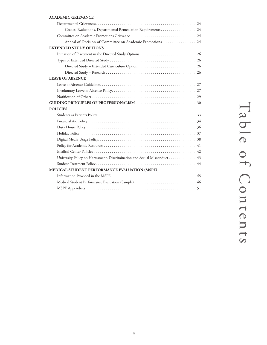### **ACADEMIC GRIEVANCE**

| Appeal of Decision of Committee on Academic Promotions  24               |
|--------------------------------------------------------------------------|
| <b>EXTENDED STUDY OPTIONS</b>                                            |
|                                                                          |
|                                                                          |
|                                                                          |
|                                                                          |
| <b>LEAVE OF ABSENCE</b>                                                  |
|                                                                          |
|                                                                          |
|                                                                          |
|                                                                          |
|                                                                          |
| <b>POLICIES</b>                                                          |
|                                                                          |
|                                                                          |
|                                                                          |
|                                                                          |
|                                                                          |
|                                                                          |
|                                                                          |
| University Policy on Harassment, Discrimination and Sexual Misconduct 43 |
|                                                                          |
| MEDICAL STUDENT PERFORMANCE EVALUATION (MSPE)                            |
|                                                                          |
|                                                                          |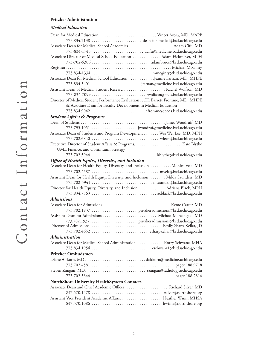### **Pritzker Administration**

### *Medical Education*

| Dean for Medical Education  Vineet Arora, MD, MAPP                              |
|---------------------------------------------------------------------------------|
| 773.834.2138  dean-for-meded@bsd.uchicago.edu                                   |
|                                                                                 |
|                                                                                 |
| Associate Director of Medical School Education  Adam Eickmeyer, MPH             |
|                                                                                 |
|                                                                                 |
|                                                                                 |
| Associate Dean for Medical School Education Jeanne Farnan, MD, MHPE             |
|                                                                                 |
| Assistant Dean of Medical Student Research  Rachel Wolfson, MD                  |
|                                                                                 |
| Director of Medical Student Performance Evaluation. H. Barrett Fromme, MD, MHPE |
| & Associate Dean for Faculty Development in Medical Education                   |
| 773.834.9042 hfromme@peds.bsd.uchicago.edu                                      |
| <b>Student Affairs &amp; Programs</b>                                           |
|                                                                                 |
|                                                                                 |
| Associate Dean of Students and Program Development Wei Wei Lee, MD, MPH         |
|                                                                                 |
|                                                                                 |
| UME Finance, and Continuum Strategy                                             |
|                                                                                 |
| Office of Health Equity, Diversity, and Inclusion                               |
| Associate Dean for Health Equity, Diversity, and Inclusion Monica Vela, MD      |
|                                                                                 |
| Assistant Dean for Health Equity, Diversity, and Inclusion. Milda Saunders, MD  |
|                                                                                 |
| Director for Health Equity, Diversity, and Inclusion. Adriana Black, MPH        |
|                                                                                 |
| <b>Admissions</b>                                                               |
|                                                                                 |
|                                                                                 |
|                                                                                 |
|                                                                                 |
|                                                                                 |
|                                                                                 |
| <b>Administration</b>                                                           |
| Associate Dean for Medical School Administration  Korry Schwanz, MHA            |
| 773.834.1954  kschwanz1@bsd.uchicago.edu                                        |
|                                                                                 |
| Pritzker Ombudsmen                                                              |
|                                                                                 |
|                                                                                 |
|                                                                                 |
|                                                                                 |
| NorthShore University HealthSystem Contacts                                     |
|                                                                                 |
|                                                                                 |
| Assistant Vice President Academic AffairsHeather Winn, MHSA                     |
|                                                                                 |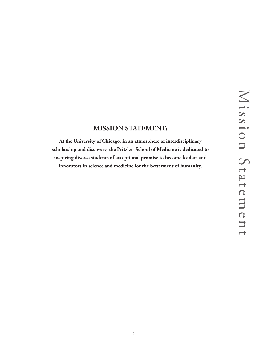# **MISSION STATEMENT:**

**At the University of Chicago, in an atmosphere of interdisciplinary scholarship and discovery, the Pritzker School of Medicine is dedicated to inspiring diverse students of exceptional promise to become leaders and innovators in science and medicine for the betterment of humanity.**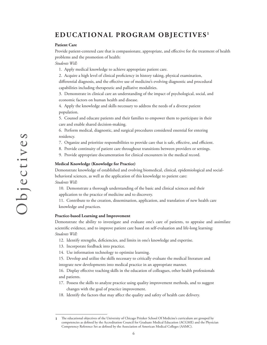# **EDUCATIONAL PROGRAM OBJECTIVES <sup>1</sup>**

### **Patient Care**

Provide patient-centered care that is compassionate, appropriate, and effective for the treatment of health problems and the promotion of health:

*Students Will:*

- 1. Apply medical knowledge to achieve appropriate patient care.
- 2. Acquire a high level of clinical proficiency in history taking, physical examination,

differential diagnosis, and the effective use of medicine's evolving diagnostic and procedural capabilities including therapeutic and palliative modalities.

3. Demonstrate in clinical care an understanding of the impact of psychological, social, and economic factors on human health and disease.

4. Apply the knowledge and skills necessary to address the needs of a diverse patient population.

5. Counsel and educate patients and their families to empower them to participate in their care and enable shared decision-making.

6. Perform medical, diagnostic, and surgical procedures considered essential for entering residency.

- 7. Organize and prioritize responsibilities to provide care that is safe, effective, and efficient.
- 8. Provide continuity of patient care throughout transitions between providers or settings.
- 9. Provide appropriate documentation for clinical encounters in the medical record.

### **Medical Knowledge (Knowledge for Practice)**

Demonstrate knowledge of established and evolving biomedical, clinical, epidemiological and socialbehavioral sciences, as well as the application of this knowledge to patient care: *Students Will:* 

10. Demonstrate a thorough understanding of the basic and clinical sciences and their application to the practice of medicine and to discovery.

11. Contribute to the creation, dissemination, application, and translation of new health care knowledge and practices.

### **Practice-based Learning and Improvement**

Demonstrate the ability to investigate and evaluate one's care of patients, to appraise and assimilate scientific evidence, and to improve patient care based on self-evaluation and life-long learning: *Students Will:* 

- 12. Identify strengths, deficiencies, and limits in one's knowledge and expertise.
- 13. Incorporate feedback into practice.
- 14. Use information technology to optimize learning.

15. Develop and utilize the skills necessary to critically evaluate the medical literature and

integrate new developments into medical practice in an appropriate manner.

16. Display effective teaching skills in the education of colleagues, other health professionals and patients.

- 17. Possess the skills to analyze practice using quality improvement methods, and to suggest changes with the goal of practice improvement.
- 18. Identify the factors that may affect the quality and safety of health care delivery.

The educational objectives of the University of Chicago Pritzker School Of Medicine's curriculum are grouped by competencies as defined by the Accreditation Council for Graduate Medical Education (ACGME) and the Physician Competency Reference Set as defined by the Association of American Medical Colleges (AAMC). **1**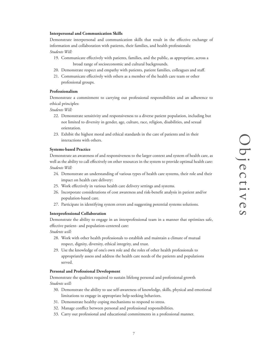### **Interpersonal and Communication Skills**

Demonstrate interpersonal and communication skills that result in the effective exchange of information and collaboration with patients, their families, and health professionals: *Students Will:*

- 19. Communicate effectively with patients, families, and the public, as appropriate, across a broad range of socioeconomic and cultural backgrounds.
- 20. Demonstrate respect and empathy with patients, patient families, colleagues and staff.
- 21. Communicate effectively with others as a member of the health care team or other professional groups.

### **Professionalism**

Demonstrate a commitment to carrying out professional responsibilities and an adherence to ethical principles:

*Students Will:*

- 22. Demonstrate sensitivity and responsiveness to a diverse patient population, including but not limited to diversity in gender, age, culture, race, religion, disabilities, and sexual orientation.
- 23. Exhibit the highest moral and ethical standards in the care of patients and in their interactions with others.

### **Systems-based Practice**

Demonstrate an awareness of and responsiveness to the larger context and system of health care, as well as the ability to call effectively on other resources in the system to provide optimal health care: *Students Will:*

- 24. Demonstrate an understanding of various types of health care systems, their role and their impact on health care delivery:
- 25. Work effectively in various health care delivery settings and systems.
- 26. Incorporate considerations of cost awareness and risk-benefit analysis in patient and/or population-based care.
- 27. Participate in identifying system errors and suggesting potential systems solutions.

### **Interprofessional Collaboration**

Demonstrate the ability to engage in an interprofessional team in a manner that optimizes safe, effective patient- and population-centered care:

*Students will:*

- 28. Work with other health professionals to establish and maintain a climate of mutual respect, dignity, diversity, ethical integrity, and trust.
- 29. Use the knowledge of one's own role and the roles of other health professionals to appropriately assess and address the health care needs of the patients and populations served.

### **Personal and Professional Development**

Demonstrate the qualities required to sustain lifelong personal and professional growth *Students will:*

- 30. Demonstrate the ability to use self-awareness of knowledge, skills, physical and emotional limitations to engage in appropriate help-seeking behaviors.
- 31. Demonstrate healthy coping mechanisms to respond to stress.
- 32. Manage conflict between personal and professional responsibilities.
- 33. Carry out professional and educational commitments in a professional manner.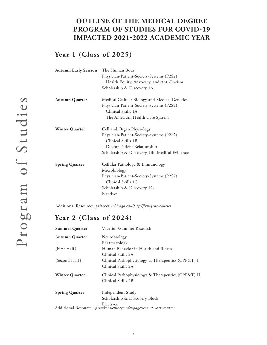# **OUTLINE OF THE MEDICAL DEGREE PROGRAM OF STUDIES FOR COVID-19 IMPACTED 2021-2022 ACADEMIC YEAR**

# **Year 1 (Class of 2025)**

| <b>Autumn Early Session</b> | The Human Body                                |  |  |  |  |
|-----------------------------|-----------------------------------------------|--|--|--|--|
|                             | Physician-Patient-Society-Systems (P2S2)      |  |  |  |  |
|                             | Health Equity, Advocacy, and Anti-Racism      |  |  |  |  |
|                             | Scholarship & Discovery 1A                    |  |  |  |  |
| <b>Autumn Quarter</b>       | Medical Cellular Biology and Medical Genetics |  |  |  |  |
|                             | Physician-Patient-Society-Systems (P2S2)      |  |  |  |  |
|                             | Clinical Skills 1A                            |  |  |  |  |
|                             | The American Health Care System               |  |  |  |  |
| <b>Winter Quarter</b>       | Cell and Organ Physiology                     |  |  |  |  |
|                             | Physician-Patient-Society-Systems (P2S2)      |  |  |  |  |
|                             | Clinical Skills 1B                            |  |  |  |  |
|                             | Doctor-Patient Relationship                   |  |  |  |  |
|                             | Scholarship & Discovery 1B: Medical Evidence  |  |  |  |  |
| <b>Spring Quarter</b>       | Cellular Pathology & Immunology               |  |  |  |  |
|                             | Microbiology                                  |  |  |  |  |
|                             | Physician-Patient-Society-Systems (P2S2)      |  |  |  |  |
|                             | Clinical Skills 1C                            |  |  |  |  |
|                             | Scholarship & Discovery 1C                    |  |  |  |  |
|                             | Electives                                     |  |  |  |  |

Additional Resource: *pritzker.uchicago.edu/page/first-year-courses*

# **Year 2 (Class of 2024)**

| <b>Summer Quarter</b> | Vacation/Summer Research                                                         |  |  |  |
|-----------------------|----------------------------------------------------------------------------------|--|--|--|
| <b>Autumn Quarter</b> | Neurobiology                                                                     |  |  |  |
|                       | Pharmacology                                                                     |  |  |  |
| (First Half)          | Human Behavior in Health and Illness                                             |  |  |  |
|                       | Clinical Skills 2A                                                               |  |  |  |
| (Second Half)         | Clinical Pathophysiology & Therapeutics (CPP&T) I                                |  |  |  |
|                       | Clinical Skills 2A                                                               |  |  |  |
| <b>Winter Quarter</b> | Clinical Pathophysiology & Therapeutics (CPP&T) II                               |  |  |  |
|                       | Clinical Skills 2B                                                               |  |  |  |
| <b>Spring Quarter</b> | Independent Study                                                                |  |  |  |
|                       | Scholarship & Discovery Block                                                    |  |  |  |
|                       | Electives<br>Additional Resource: pritzker.uchicago.edu/page/second-year-courses |  |  |  |
|                       |                                                                                  |  |  |  |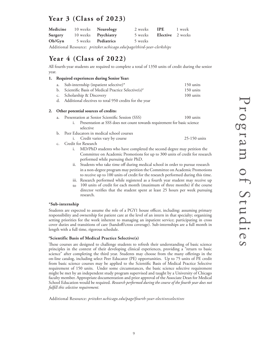# **Year 3 (Class of 2023)**

| Medicine 10 weeks Neurology               |                           | 2 weeks <b>IPE</b> 1 week       |  |
|-------------------------------------------|---------------------------|---------------------------------|--|
| <b>Surgery</b> 10 weeks <b>Psychiatry</b> |                           | 5 weeks <b>Elective</b> 2 weeks |  |
| Ob/Gvn                                    | 5 weeks <b>Pediatrics</b> | 5 weeks                         |  |

Additional Resource: *pritzker.uchicago.edu/page/third-year-clerkships*

# **Year 4 (Class of 2022)**

All fourth-year students are required to complete a total of 1350 units of credit during the senior year.

### **1. Required experiences during Senior Year:**

| a. Sub-internship (inpatient selective)*                          | 150 units           |
|-------------------------------------------------------------------|---------------------|
| b. Scientific Basis of Medical Practice Selective(s) <sup>#</sup> | 150 units           |
| c. Scholarship & Discovery                                        | $100 \text{ units}$ |

d. Additional electives to total 950 credits for the year

### **2. Other potential sources of credits:**

|  | a. Presentation at Senior Scientific Session (SSS)                       | $100$ units |
|--|--------------------------------------------------------------------------|-------------|
|  | Presentation at SSS does not count towards requirement for basic science |             |
|  | selective                                                                |             |

- b. Peer Educators in medical school courses
	- i. Credit varies vary by course 25-150 units
- c. Credit for Research
	- i. MD/PhD students who have completed the second degree may petition the Committee on Academic Promotions for up to 300 units of credit for research performed while pursuing their PhD.
	- ii. Students who take time off during medical school in order to pursue research in a non-degree program may petition the Committee on Academic Promotions to receive up to 100 units of credit for the research performed during this time.
	- iii. Research performed while registered as a fourth year student may receive up
	- to 100 units of credit for each month (maximum of three months) if the course director verifies that the student spent at least 25 hours per week pursuing research.

### **\*Sub-internship**

Students are expected to assume the role of a PGY1 house officer, including: assuming primary responsibility and ownership for patient care at the level of an intern in that specialty; organizing setting priorities for the work inherent to managing an inpatient service; participating in cross cover duties and transitions of care (handoff/cross coverage). Sub-internships are a full month in length with a full time, rigorous schedule.

### **# Scientific Basis of Medical Practice Selective(s)**

These courses are designed to challenge students to refresh their understanding of basic science principles in the context of their developing clinical experiences, providing a "return to basic science" after completing the third year. Students may choose from the many offerings in the on-line catalog, including select Peer Educator (PE) opportunities. Up to 75 units of PE credit from basic science courses may be applied to the Scientific Basis of Medical Practice Selective requirement of 150 units. Under some circumstances, the basic science selective requirement might be met by an independent study program supervised and taught by a University of Chicago faculty member. Appropriate documentation and prior approval of the Associate Dean for Medical School Education would be required. *Research performed during the course of the fourth year does not fulfill this selective requirement.*

Additional Resource: *pritzker.uchicago.edu/page/fourth-year-electivesselectives*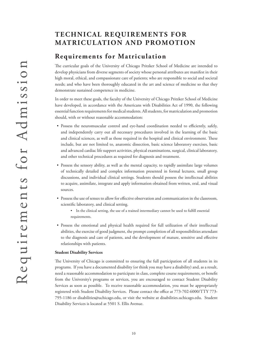# **TECHNICAL REQUIREMENTS FOR MATRICULATION AND PROMOTION**

# **Requirements for Matriculation**

The curricular goals of the University of Chicago Pritzker School of Medicine are intended to develop physicians from diverse segments of society whose personal attributes are manifest in their high moral, ethical, and compassionate care of patients; who are responsible to social and societal needs; and who have been thoroughly educated in the art and science of medicine so that they demonstrate sustained competence in medicine.

In order to meet these goals, the faculty of the University of Chicago Pritzker School of Medicine have developed, in accordance with the Americans with Disabilities Act of 1990, the following essential function requirements for medical students. All students, for matriculation and promotion should, with or without reasonable accommodation:

- Possess the neuromuscular control and eye-hand coordination needed to efficiently, safely, and independently carry out all necessary procedures involved in the learning of the basic and clinical sciences, as well as those required in the hospital and clinical environment. These include, but are not limited to, anatomic dissection, basic science laboratory exercises, basic and advanced cardiac life support activities, physical examinations, surgical, clinical laboratory, and other technical procedures as required for diagnosis and treatment.
- Possess the sensory ability, as well as the mental capacity, to rapidly assimilate large volumes of technically detailed and complex information presented in formal lectures, small group discussions, and individual clinical settings. Students should possess the intellectual abilities to acquire, assimilate, integrate and apply information obtained from written, oral, and visual sources.
- Possess the use of senses to allow for effective observation and communication in the classroom, scientific laboratory, and clinical setting.
	- In the clinical setting, the use of a trained intermediary cannot be used to fulfill essential requirements.
- Possess the emotional and physical health required for full utilization of their intellectual abilities, the exercise of good judgment, the prompt completion of all responsibilities attendant to the diagnosis and care of patients, and the development of mature, sensitive and effective relationships with patients.

### **Student Disability Services**

The University of Chicago is committed to ensuring the full participation of all students in its programs. If you have a documented disability (or think you may have a disability) and, as a result, need a reasonable accommodation to participate in class, complete course requirements, or benefit from the University's programs or services, you are encouraged to contact Student Disability Services as soon as possible. To receive reasonable accommodation, you must be appropriately registered with Student Disability Services. Please contact the office at 773-702-6000/TTY 773- 795-1186 or disabilities@uchicago.edu, or visit the website at disabilities.uchicago.edu. Student Disability Services is located at 5501 S. Ellis Avenue.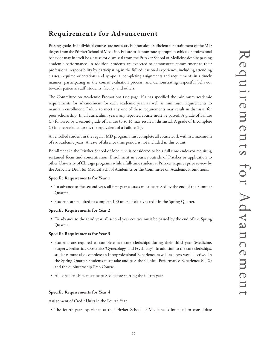Passing grades in individual courses are necessary but not alone sufficient for attainment of the MD degree from the Pritzker School of Medicine. Failure to demonstrate appropriate ethical or professional behavior may in itself be a cause for dismissal from the Pritzker School of Medicine despite passing academic performance. In addition, students are expected to demonstrate commitment to their professional responsibility by participating in the full educational experience, including attending classes, required orientations and symposia; completing assignments and requirements in a timely manner; participating in the course evaluation process; and demonstrating respectful behavior towards patients, staff, students, faculty, and others.

The Committee on Academic Promotions (see page 19) has specified the minimum academic requirements for advancement for each academic year, as well as minimum requirements to maintain enrollment. Failure to meet any one of these requirements may result in dismissal for poor scholarship. In all curriculum years, any repeated course must be passed. A grade of Failure (F) followed by a second grade of Failure (F to F) may result in dismissal. A grade of Incomplete (I) in a repeated course is the equivalent of a Failure (F).

An enrolled student in the regular MD program must complete all coursework within a maximum of six academic years. A leave of absence time period is not included in this count.

Enrollment in the Pritzker School of Medicine is considered to be a full time endeavor requiring sustained focus and concentration. Enrollment in courses outside of Pritzker or application to other University of Chicago programs while a full-time student at Pritzker requires prior review by the Associate Dean for Medical School Academics or the Committee on Academic Promotions.

### **Specific Requirements for Year 1**

- To advance to the second year, all first year courses must be passed by the end of the Summer Quarter.
- Students are required to complete 100 units of elective credit in the Spring Quarter.

### **Specific Requirements for Year 2**

• To advance to the third year, all second year courses must be passed by the end of the Spring Quarter.

### **Specific Requirements for Year 3**

- Students are required to complete five core clerkships during their third year (Medicine, Surgery, Pediatrics, Obstetrics/Gynecology, and Psychiatry). In addition to the core clerkships, students must also complete an Interprofessional Experience as well as a two-week elective. In the Spring Quarter, students must take and pass the Clinical Performance Experience (CPX) and the Subinternship Prep Course.
- All core clerkships must be passed before starting the fourth year.

### **Specific Requirements for Year 4**

Assignment of Credit Units in the Fourth Year

• The fourth-year experience at the Pritzker School of Medicine is intended to consolidate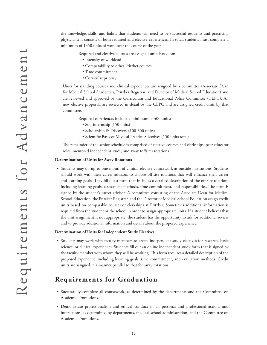the knowledge, skills, and habits that students will need to be successful residents and practicing physicians; it consists of both required and elective experiences. In total, students must complete a minimum of 1350 units of work over the course of the year.

Required and elective courses are assigned units based on:

- Intensity of workload
- Comparability to other Pritzker courses
- Time commitment
- Curricular priority

Units for standing courses and clinical experiences are assigned by a committee (Associate Dean for Medical School Academics, Pritzker Registrar, and Director of Medical School Education) and are reviewed and approved by the Curriculum and Educational Policy Committee (CEPC). All new elective proposals are reviewed in detail by the CEPC and are assigned credit units by that committee.

Required experiences include a minimum of 400 units:

- Sub-internship (150 units)
- Scholarship & Discovery (100-300 units)
- Scientific Basis of Medical Practice Selectives (150 units total)

The remainder of the senior schedule is comprised of elective courses and clerkships, peer educator roles, mentored independent study, and away (offsite) rotations.

### **Determination of Units for Away Rotations**

• Students may do up to one month of clinical elective coursework at outside institutions. Students should work with their career advisors to choose off-site rotations that will enhance their career and learning goals. They fill out a form that includes a detailed description of the off-site rotation, including learning goals, assessment methods, time commitment, and responsibilities. The form is signed by the student's career advisor. A committee consisting of the Associate Dean for Medical School Education, the Pritzker Registrar, and the Director of Medical School Education assign credit units based on comparable courses or clerkships at Pritzker. Sometimes additional information is required from the student or the school in order to assign appropriate units. If a student believes that the unit assignment is not appropriate, the student has the opportunity to ask for additional review and to provide additional information and details about the proposed experience.

### **Determination of Units for Independent Study Electives**

• Students may work with faculty members to create independent study electives for research, basic science, or clinical experiences. Students fill out an online independent study form that is signed by the faculty member with whom they will be working. This form requires a detailed description of the proposed experience, including learning goals, time commitment, and evaluation methods. Credit units are assigned in a manner parallel to that for away rotations.

# **Requirements for Graduation**

- Successfully complete all coursework, as determined by the departments and the Committee on Academic Promotions.
- Demonstrate professionalism and ethical conduct in all personal and professional actions and interactions, as determined by departments, medical school administration, and the Committee on Academic Promotions.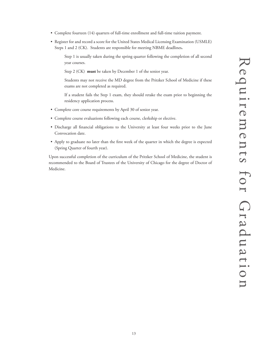Requirements for GraduationRequirements for Graduation

- Complete fourteen (14) quarters of full-time enrollment and full-time tuition payment.
- Register for and record a score for the United States Medical Licensing Examination (USMLE) Steps 1 and 2 (CK). Students are responsible for meeting NBME deadlines**.**

Step 1 is usually taken during the spring quarter following the completion of all second year courses.

Step 2 (CK) **must** be taken by December 1 of the senior year.

Students may not receive the MD degree from the Pritzker School of Medicine if these exams are not completed as required.

If a student fails the Step 1 exam, they should retake the exam prior to beginning the residency application process.

- Complete core course requirements by April 30 of senior year.
- Complete course evaluations following each course, clerkship or elective.
- Discharge all financial obligations to the University at least four weeks prior to the June Convocation date.
- Apply to graduate no later than the first week of the quarter in which the degree is expected (Spring Quarter of fourth year).

Upon successful completion of the curriculum of the Pritzker School of Medicine, the student is recommended to the Board of Trustees of the University of Chicago for the degree of Doctor of Medicine.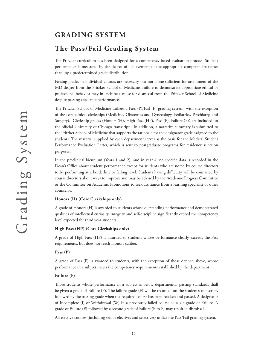# **GRADING SYSTEM**

# **The Pass/Fail Grading System**

The Pritzker curriculum has been designed for a competency-based evaluation process. Student performance is measured by the degree of achievement of the appropriate competencies rather than by a predetermined grade distribution.

Passing grades in individual courses are necessary but not alone sufficient for attainment of the MD degree from the Pritzker School of Medicine. Failure to demonstrate appropriate ethical or professional behavior may in itself be a cause for dismissal from the Pritzker School of Medicine despite passing academic performance.

The Pritzker School of Medicine utilizes a Pass (P)/Fail (F) grading system, with the exception of the core clinical clerkships (Medicine, Obstetrics and Gynecology, Pediatrics, Psychiatry, and Surgery). Clerkship grades (Honors (H), High Pass (HP), Pass (P), Failure (F)) are included on the official University of Chicago transcript. In addition, a narrative summary is submitted to the Pritzker School of Medicine that supports the rationale for the designator grade assigned to the students. The material supplied by each department serves as the basis for the Medical Student Performance Evaluation Letter, which is sent to postgraduate programs for residency selection purposes.

In the preclinical biennium (Years 1 and 2), and in year 4, no specific data is recorded in the Dean's Office about student performance except for students who are noted by course directors to be performing at a borderline or failing level. Students having difficulty will be counseled by course directors about ways to improve and may be advised by the Academic Progress Committee or the Committee on Academic Promotions to seek assistance from a learning specialist or other counselor.

### **Honors (H) (Core Clerkships only)**

A grade of Honors (H) is awarded to students whose outstanding performance and demonstrated qualities of intellectual curiosity, integrity and self-discipline significantly exceed the competency level expected for third year students.

### **High Pass (HP) (Core Clerkships only)**

A grade of High Pass (HP) is awarded to students whose performance clearly exceeds the Pass requirements, but does not reach Honors caliber.

### **Pass (P)**

A grade of Pass (P) is awarded to students, with the exception of those defined above, whose performance in a subject meets the competency requirements established by the department.

### **Failure (F)**

Those students whose performance in a subject is below departmental passing standards shall be given a grade of Failure (F). The failure grade (F) will be recorded on the student's transcript, followed by the passing grade when the required course has been retaken and passed. A designator of Incomplete (I) or Withdrawal (W) in a previously failed course equals a grade of Failure. A grade of Failure (F) followed by a second grade of Failure (F to F) may result in dismissal.

All elective courses (including senior electives and selectives) utilize the Pass/Fail grading system.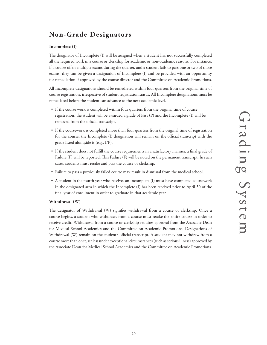# **Non-Grade Designators**

### **Incomplete (I)**

The designator of Incomplete (I) will be assigned when a student has not successfully completed all the required work in a course or clerkship for academic or non-academic reasons. For instance, if a course offers multiple exams during the quarter, and a student fails to pass one or two of those exams, they can be given a designation of Incomplete (I) and be provided with an opportunity for remediation if approved by the course director and the Committee on Academic Promotions.

All Incomplete designations should be remediated within four quarters from the original time of course registration, irrespective of student registration status. All Incomplete designations must be remediated before the student can advance to the next academic level.

- If the course work is completed within four quarters from the original time of course registration, the student will be awarded a grade of Pass (P) and the Incomplete (I) will be removed from the official transcript.
- If the coursework is completed more than four quarters from the original time of registration for the course, the Incomplete (I) designation will remain on the official transcript with the grade listed alongside it (e.g., I/P).
- If the student does not fulfill the course requirements in a satisfactory manner, a final grade of Failure (F) will be reported. This Failure (F) will be noted on the permanent transcript. In such cases, students must retake and pass the course or clerkship.
- Failure to pass a previously failed course may result in dismissal from the medical school.
- A student in the fourth year who receives an Incomplete (I) must have completed coursework in the designated area in which the Incomplete (I) has been received prior to April 30 of the final year of enrollment in order to graduate in that academic year.

### **Withdrawal (W)**

The designator of Withdrawal (W) signifies withdrawal from a course or clerkship. Once a course begins, a student who withdraws from a course must retake the entire course in order to receive credit. Withdrawal from a course or clerkship requires approval from the Associate Dean for Medical School Academics and the Committee on Academic Promotions. Designations of Withdrawal (W) remain on the student's official transcript. A student may not withdraw from a course more than once, unless under exceptional circumstances (such as serious illness) approved by the Associate Dean for Medical School Academics and the Committee on Academic Promotions.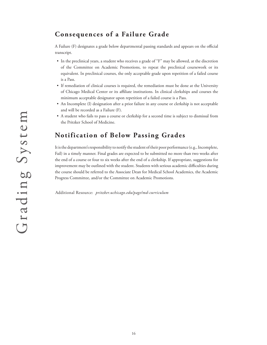# **Consequences of a Failure Grade**

A Failure (F) designates a grade below departmental passing standards and appears on the official transcript.

- In the preclinical years, a student who receives a grade of "F" may be allowed, at the discretion of the Committee on Academic Promotions, to repeat the preclinical coursework or its equivalent. In preclinical courses, the only acceptable grade upon repetition of a failed course is a Pass.
- If remediation of clinical courses is required, the remediation must be done at the University of Chicago Medical Center or its affiliate institutions. In clinical clerkships and courses the minimum acceptable designator upon repetition of a failed course is a Pass.
- An Incomplete (I) designation after a prior failure in any course or clerkship is not acceptable and will be recorded as a Failure (F).
- A student who fails to pass a course or clerkship for a second time is subject to dismissal from the Pritzker School of Medicine.

# **Notification of Below Passing Grades**

It is the department's responsibility to notify the student of their poor performance (e.g., Incomplete, Fail) in a timely manner. Final grades are expected to be submitted no more than two weeks after the end of a course or four to six weeks after the end of a clerkship. If appropriate, suggestions for improvement may be outlined with the student. Students with serious academic difficulties during the course should be referred to the Associate Dean for Medical School Academics, the Academic Progress Committee, and/or the Committee on Academic Promotions.

Additional Resource: *pritzker.uchicago.edu/page/md-curriculum*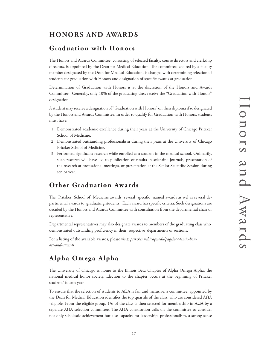# **HONORS AND AWARDS**

# **Graduation with Honors**

The Honors and Awards Committee, consisting of selected faculty, course directors and clerkship directors, is appointed by the Dean for Medical Education. The committee, chaired by a faculty member designated by the Dean for Medical Education, is charged with determining selection of students for graduation with Honors and designation of specific awards at graduation.

Determination of Graduation with Honors is at the discretion of the Honors and Awards Committee. Generally, only 10% of the graduating class receive the "Graduation with Honors" designation.

A student may receive a designation of "Graduation with Honors" on their diploma if so designated by the Honors and Awards Committee. In order to qualify for Graduation with Honors, students must have:

- 1. Demonstrated academic excellence during their years at the University of Chicago Pritzker School of Medicine.
- 2. Demonstrated outstanding professionalism during their years at the University of Chicago Pritzker School of Medicine.
- 3. Performed significant research while enrolled as a student in the medical school. Ordinarily, such research will have led to publication of results in scientific journals, presentation of the research at professional meetings, or presentation at the Senior Scientific Session during senior year.

# **Other Graduation Awards**

The Pritzker School of Medicine awards several specific named awards as wel as several departmental awards to graduating students. Each award has specific criteria. Such designations are decided by the Honors and Awards Committee with consultation from the departmental chair or representative.

Departmental representatives may also designate awards to members of the graduating class who demonstrated outstanding proficiency in their respective departments or sections.

For a listing of the available awards, please visit: *pritzker.uchicago.edu/page/academic-honors-and-awards*

# **Alpha Omega Alpha**

The University of Chicago is home to the Illinois Beta Chapter of Alpha Omega Alpha, the national medical honor society. Election to the chapter occurs at the beginning of Pritzker students' fourth year.

To ensure that the selection of students to AΩA is fair and inclusive, a committee, appointed by the Dean for Medical Education identifies the top quartile of the class, who are considered AΩA -eligible. From the eligible group,  $1/6$  of the class is then selected for membership in A $\Omega A$  by a separate A $\Omega$ A selection committee. The A $\Omega$ A constitution calls on the committee to consider not only scholastic achievement but also capacity for leadership, professionalism, a strong sense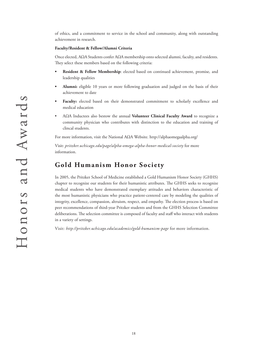of ethics, and a commitment to service in the school and community, along with outstanding achievement in research.

### **Faculty/Resident & Fellow/Alumni Criteria**

Once elected, AΩA Students confer AΩA membership onto selected alumni, faculty, and residents. They select these members based on the following criteria:

- **• Resident & Fellow Membership**: elected based on continued achievement, promise, and leadership qualities
- **• Alumni:** eligible 10 years or more following graduation and judged on the basis of their achievement to date
- **• Faculty:** elected based on their demonstrated commitment to scholarly excellence and medical education
- AΩA Inductees also bestow the annual **Volunteer Clinical Faculty Award** to recognize a community physician who contributes with distinction to the education and training of clincal students.

For more information, visit the National AΩA Website. http://alphaomegaalpha.org/

Visit: *pritzker.uchicago.edu/page/alpha-omega-alpha-honor-medical-society* for more information.

# **Gold Humanism Honor Society**

In 2005, the Pritzker School of Medicine established a Gold Humanism Honor Society (GHHS) chapter to recognize our students for their humanistic attributes. The GHHS seeks to recognize medical students who have demonstrated exemplary attitudes and behaviors characteristic of the most humanistic physicians who practice patient-centered care by modeling the qualities of integrity, excellence, compassion, altruism, respect, and empathy. The election process is based on peer recommendations of third-year Pritzker students and from the GHHS Selection Committee deliberations. The selection committee is composed of faculty and staff who interact with students in a variety of settings.

Visit: *http://pritzker.uchicago.edu/academics/gold-humanism-page* for more information.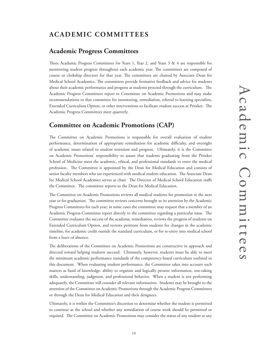# **ACADEMIC COMMITTEES**

# **Academic Progress Committees**

Three Academic Progress Committees for Years 1, Year 2, and Years 3 & 4 are responsible for monitoring student progress throughout each academic year. The committees are composed of course or clerkship directors for that year. The committees are chaired by Associate Dean for Medical School Academics. The committees provide formative feedback and advice for students about their academic performance and progress as students proceed through the curriculum. The Academic Progress Committees report to Committee on Academic Promotions and may make recommendations to that committee for monitoring, remediation, referral to learning specialists, Extended Curriculum Option, or other interventions to facilitate student success at Pritzker. The Academic Progress Committees meet quarterly.

# **Committee on Academic Promotions (CAP)**

The Committee on Academic Promotions is responsible for overall evaluation of student performance, determination of appropriate remediation for academic difficulty, and oversight of academic issues related to student retention and progress. Ultimately, it is the Committee on Academic Promotions' responsibility to assure that students graduating from the Pritzker School of Medicine meet the academic, ethical, and professional standards to enter the medical profession. The Committee is appointed by the Dean for Medical Education and consists of senior faculty members who are experienced with medical student education. The Associate Dean for Medical School Academics serves as chair. The Director of Medical School Education staffs the Committee. The committee reports to the Dean for Medical Education.

The Committee on Academic Promotions reviews all medical students for promotion to the next year or for graduation. The committee reviews concerns brought to its attention by the Academic Progress Committees for each year; in some cases the committee may request that a member of an Academic Progress Committee report directly to the committee regarding a particular issue. The Committee evaluates the success of the academic remediation, reviews the progress of students on Extended Curriculum Option, and reviews petitions from students for changes in the academic timeline, for academic credit outside the standard curriculum, or for re-entry into medical school from a leave of absence.

The deliberations of the Committee on Academic Promotions are constructive in approach and directed toward helping students succeed. Ultimately, however, students must be able to meet the minimum academic performance standards of the competency-based curriculum outlined in this document. When evaluating student performance, the Committee takes into account such matters as fund of knowledge, ability to organize and logically present information, test-taking skills, understanding, judgment, and professional behavior. When a student is not performing adequately, the Committee will consider all relevant information. Students may be brought to the attention of the Committee on Academic Promotions through the Academic Progress Committees or through the Dean for Medical Education and their designees.

Ultimately, it is within the Committee's discretion to determine whether the student is permitted to continue at the school and whether any remediation of course work should be permitted or required. The Committee on Academic Promotions may consider the status of any student at any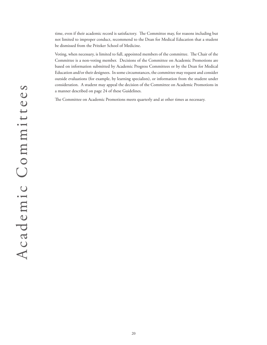time, even if their academic record is satisfactory. The Committee may, for reasons including but not limited to improper conduct, recommend to the Dean for Medical Education that a student be dismissed from the Pritzker School of Medicine.

Voting, when necessary, is limited to full, appointed members of the committee. The Chair of the Committee is a non-voting member. Decisions of the Committee on Academic Promotions are based on information submitted by Academic Progress Committees or by the Dean for Medical Education and/or their designees. In some circumstances, the committee may request and consider outside evaluations (for example, by learning specialists), or information from the student under consideration. A student may appeal the decision of the Committee on Academic Promotions in a manner described on page 24 of these Guidelines.

The Committee on Academic Promotions meets quarterly and at other times as necessary.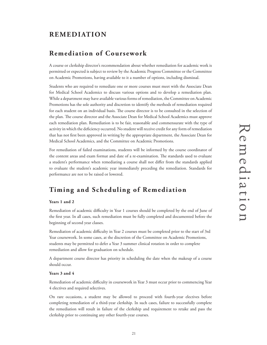# **REMEDIATION**

# **Remediation of Coursework**

A course or clerkship director's recommendation about whether remediation for academic work is permitted or expected is subject to review by the Academic Progress Committee or the Committee on Academic Promotions, having available to it a number of options, including dismissal.

Students who are required to remediate one or more courses must meet with the Associate Dean for Medical School Academics to discuss various options and to develop a remediation plan. While a department may have available various forms of remediation, the Committee on Academic Promotions has the sole authority and discretion to identify the methods of remediation required for each student on an individual basis. The course director is to be consulted in the selection of the plan. The course director and the Associate Dean for Medical School Academics must approve each remediation plan. Remediation is to be fair, reasonable and commensurate with the type of activity in which the deficiency occurred. No student will receive credit for any form of remediation that has not first been approved in writing by the appropriate department, the Associate Dean for Medical School Academics, and the Committee on Academic Promotions.

For remediation of failed examinations, students will be informed by the course coordinator of the content areas and exam format and date of a re-examination. The standards used to evaluate a student's performance when remediating a course shall not differ from the standards applied to evaluate the student's academic year immediately preceding the remediation. Standards for performance are not to be raised or lowered.

# **Timing and Scheduling of Remediation**

### **Years 1 and 2**

Remediation of academic difficulty in Year 1 courses should be completed by the end of June of the first year. In all cases, such remediation must be fully completed and documented before the beginning of second year classes.

Remediation of academic difficulty in Year 2 courses must be completed prior to the start of 3rd Year coursework. In some cases, at the discretion of the Committee on Academic Promotions, students may be permitted to defer a Year 3 summer clinical rotation in order to complete remediation and allow for graduation on schedule.

A department course director has priority in scheduling the date when the makeup of a course should occur.

### **Years 3 and 4**

Remediation of academic difficulty in coursework in Year 3 must occur prior to commencing Year 4 electives and required selectives.

On rare occasions, a student may be allowed to proceed with fourth-year electives before completing remediation of a third-year clerkship. In such cases, failure to successfully complete the remediation will result in failure of the clerkship and requirement to retake and pass the clerkship prior to continuing any other fourth-year courses.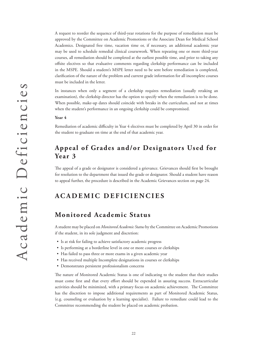A request to reorder the sequence of third-year rotations for the purpose of remediation must be approved by the Committee on Academic Promotions or the Associate Dean for Medical School Academics. Designated free time, vacation time or, if necessary, an additional academic year may be used to schedule remedial clinical coursework. When repeating one or more third-year courses, all remediation should be completed at the earliest possible time, and prior to taking any offsite electives so that evaluative comments regarding clerkship performance can be included in the MSPE. Should a student's MSPE letter need to be sent before remediation is completed, clarification of the nature of the problem and current grade information for all incomplete courses must be included in the letter.

In instances when only a segment of a clerkship requires remediation (usually retaking an examination), the clerkship director has the option to specify when the remediation is to be done. When possible, make-up dates should coincide with breaks in the curriculum, and not at times when the student's performance in an ongoing clerkship could be compromised.

### **Year 4**

Remediation of academic difficulty in Year 4 electives must be completed by April 30 in order for the student to graduate on time at the end of that academic year.

# **Appeal of Grades and/or Designators Used for Year 3**

The appeal of a grade or designator is considered a grievance. Grievances should first be brought for resolution to the department that issued the grade or designator. Should a student have reason to appeal further, the procedure is described in the Academic Grievances section on page 24.

# **ACADEMIC DEFICIENCIES**

# **Monitored Academic Status**

A student may be placed on *Monitored Academic Status* by the Committee on Academic Promotions if the student, in its sole judgment and discretion:

- Is at risk for failing to achieve satisfactory academic progress
- Is performing at a borderline level in one or more courses or clerkships
- Has failed to pass three or more exams in a given academic year
- Has received multiple Incomplete designations in courses or clerkships
- Demonstrates persistent professionalism concerns

The nature of Monitored Academic Status is one of indicating to the student that their studies must come first and that every effort should be expended in assuring success. Extracurricular activities should be minimized, with a primary focus on academic achievement. The Committee has the discretion to impose additional requirements as part of Monitored Academic Status, (e.g. counseling or evaluation by a learning specialist). Failure to remediate could lead to the Committee recommending the student be placed on academic probation.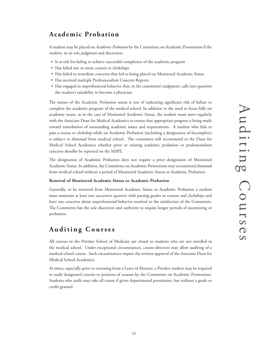# **Academic Probation**

A student may be placed on *Academic Probation* by the Committee on Academic Promotions if the student, in its sole judgment and discretion:

- Is at risk for failing to achieve successful completion of the academic program
- Has failed one or more courses or clerkships
- Has failed to remediate concerns that led to being placed on Monitored Academic Status
- Has received multiple Professionalism Concern Reports
- Has engaged in unprofessional behavior that, in the committee's judgment, calls into question the student's suitability to become a physician

The nature of the Academic Probation status is one of indicating significant risk of failure to complete the academic program of the medical school. In addition to the need to focus fully on academic issues, as in the case of Monitored Academic Status, the student must meet regularly with the Associate Dean for Medical Academics to ensure that appropriate progress is being made toward remediation of outstanding academic issues and requirements. A student who fails to pass a course or clerkship while on Academic Probation (including a designation of Incomplete) is subject to dismissal from medical school. The committee will recommend to the Dean for Medical School Academics whether prior or existing academic probation or professionalism cencerns shoulbe be reported on the MSPE.

The designation of Academic Probation does not require a prior designation of Monitored Academic Status. In addition, the Committee on Academic Promotions may recommend dismissal from medical school without a period of Monitored Academic Status or Academic Probation.

### **Removal of Monitored Academic Status or Academic Probation**

Generally, to be removed from Monitored Academic Status or Academic Probation a student must maintain at least two successive quarters with passing grades in courses and clerkships and have any concerns about unprofessional behavior resolved to the satisfaction of the Committee. The Committee has the sole discretion and authority to require longer periods of monitoring or probation.

# **Auditing Courses**

All courses in the Pritzker School of Medicine are closed to students who are not enrolled in the medical school. Under exceptional circumstances, course directors may allow auditing of a medical school course. Such circumstances require the written approval of the Associate Dean for Medical School Academics.

At times, especially prior to returning from a Leave of Absence, a Pritzker student may be required to audit designated courses or portions of courses by the Committee on Academic Promotions. Students who audit may take all exams if given departmental permission, but without a grade or credit granted.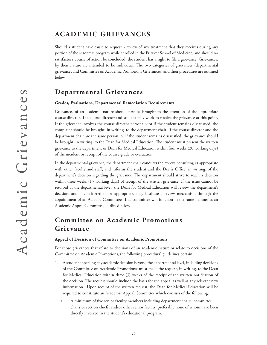# **ACADEMIC GRIEVANCES**

Should a student have cause to request a review of any treatment that they receives during any portion of the academic program while enrolled in the Pritzker School of Medicine, and should no satisfactory course of action be concluded, the student has a right to file a grievance. Grievances, by their nature are intended to be individual. The two categories of grievances (departmental grievances and Committee on Academic Promotions Grievances) and their procedures are outlined below.

# **Departmental Grievances**

### **Grades, Evaluations, Departmental Remediation Requirements**

Grievances of an academic nature should first be brought to the attention of the appropriate course director. The course director and student may work to resolve the grievance at this point. If the grievance involves the course director personally or if the student remains dissatisfied, the complaint should be brought, in writing, to the department chair. If the course director and the department chair are the same person, or if the student remains dissatisfied, the grievance should be brought, in writing, to the Dean for Medical Education. The student must present the written grievance to the department or Dean for Medical Education within four weeks (20 working days) of the incident or receipt of the course grade or evaluation.

In the departmental grievance, the department chair conducts the review, consulting as appropriate with other faculty and staff, and informs the student and the Dean's Office, in writing, of the department's decision regarding the grievance. The department should strive to reach a decision within three weeks (15 working days) of receipt of the written grievance. If the issue cannot be resolved at the departmental level, the Dean for Medical Education will review the department's decision, and if considered to be appropriate, may institute a review mechanism through the appointment of an Ad Hoc Committee. This committee will function in the same manner as an Academic Appeal Committee, ourlined below.

# **Committee on Academic Promotions Grievance**

### **Appeal of Decision of Committee on Academic Promotions**

For those grievances that relate to decisions of an academic nature or relate to decisions of the Committee on Academic Promotions, the following procedural guidelines pertain:

- 1. A student appealing any academic decision beyond the departmental level, including decisions of the Committee on Academic Promotions, must make the request, in writing, to the Dean for Medical Education within three (3) weeks of the receipt of the written notification of the decision. The request should include the basis for the appeal as well as any relevant new information. Upon receipt of the written request, the Dean for Medical Education will be required to constitute an Academic Appeal Committee which consists of the following:
	- a. A minimum of five senior faculty members including department chairs, committee chairs or section chiefs, and/or other senior faculty, preferably none of whom have been directly involved in the student's educational program.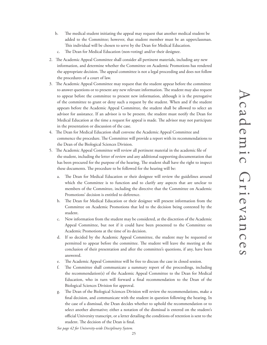- b. The medical student initiating the appeal may request that another medical student be added to the Committee; however, that student member must be an upperclassman. This individual will be chosen to serve by the Dean for Medical Education.
- c. The Dean for Medical Education (non-voting) and/or their designee.
- 2. The Academic Appeal Committee shall consider all pertinent materials, including any new information, and determine whether the Committee on Academic Promotions has rendered the appropriate decision. The appeal committee is not a legal proceeding and does not follow the procedures of a court of law.
- 3. The Academic Appeal Committee may request that the student appear before the committee to answer questions or to present any new relevant information. The student may also request to appear before the committee to present new information, although it is the prerogative of the committee to grant or deny such a request by the student. When and if the student appears before the Academic Appeal Committee, the student shall be allowed to select an advisor for assistance. If an advisor is to be present, the student must notify the Dean for Medical Education at the time a request for appeal is made. The advisor may not participate in the presentation or discussion of the case.
- 4. The Dean for Medical Education shall convene the Academic Appeal Committee and commence the procedure. The Committee will provide a report with its recommendations to the Dean of the Biological Sciences Division.
- 5. The Academic Appeal Committee will review all pertinent material in the academic file of the student, including the letter of review and any additional supporting documentation that has been procured for the purpose of the hearing. The student shall have the right to inspect these documents. The procedure to be followed for the hearing will be:
	- a. The Dean for Medical Education or their designee will review the guidelines around which the Committee is to function and to clarify any aspects that are unclear to members of the Committee, including the directive that the Committee on Academic Promotions' decision is entitled to deference.
	- b. The Dean for Medical Education or their designee will present information from the Committee on Academic Promotions that led to the decision being contested by the student.
	- c. New information from the student may be considered, at the discretion of the Academic Appeal Committee, but not if it could have been presented to the Committee on Academic Promotions at the time of its decision.
	- d. If so decided by the Academic Appeal Committee, the student may be requested or permitted to appear before the committee. The student will leave the meeting at the conclusion of their presentation and after the committee's questions, if any, have been answered.
	- e. The Academic Appeal Committee will be free to discuss the case in closed session.
	- f. The Committee shall communicate a summary report of the proceedings, including the recommendation(s) of the Academic Appeal Committee to the Dean for Medical Education, who in turn will forward a final recommendation to the Dean of the Biological Sciences Division for approval.
	- g. The Dean of the Biological Sciences Division will review the recommendations, make a final decision, and communicate with the student in question following the hearing. In the case of a dismissal, the Dean decides whether to uphold the recommendation or to select another alternative; either a notation of the dismissal is entered on the student's official University transcript, or a letter detailing the conditions of retention is sent to the student. The decision of the Dean is final.

*See page 42 for University-wide Disciplinary System.*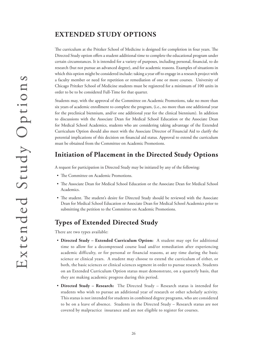# **EXTENDED STUDY OPTIONS**

The curriculum at the Pritzker School of Medicine is designed for completion in four years. The Directed Study option offers a student additional time to complete the educational program under certain circumstances. It is intended for a variety of purposes, including personal, financial, to do research (but not pursue an advanced degree), and for academic reasons. Examples of situations in which this option might be considered include: taking a year off to engage in a research project with a faculty member or need for repetition or remediation of one or more courses. University of Chicago Pritzker School of Medicine students must be registered for a minimum of 100 units in order to be to be considered Full-Time for that quarter.

Students may, with the approval of the Committee on Academic Promotions, take no more than six years of academic enrollment to complete the program, (i.e., no more than one additional year for the preclinical biennium, and/or one additional year for the clinical biennium). In addition to discussions with the Associate Dean for Medical School Education or the Associate Dean for Medical School Academics, students who are considering taking advantage of the Extended Curriculum Option should also meet with the Associate Director of Financial Aid to clarify the potential implications of this decision on financial aid status. Approval to extend the curriculum must be obtained from the Committee on Academic Promotions.

# **Initiation of Placement in the Directed Study Options**

A request for participation in Directed Study may be initiated by any of the following:

- The Committee on Academic Promotions.
- The Associate Dean for Medical School Education or the Associate Dean for Medical School Academics.
- The student. The student's desire for Directed Study should be reviewed with the Associate Dean for Medical School Education or Associate Dean for Medical School Academics prior to submitting the petition to the Committee on Academic Promotions.

# **Types of Extended Directed Study**

There are two types available:

- **Directed Study Extended Curriculum Option:** A student may opt for additional time to allow for a decompressed course load and/or remediation after experiencing academic difficulty, or for personal or financial reasons, at any time during the basic science or clinical years. A student may choose to extend the curriculum of either, or both, the basic sciences or clinical sciences segment in order to pursue research. Students on an Extended Curriculum Option status must demonstrate, on a quarterly basis, that they are making academic progress during this period.
- **Directed Study Research:** The Directed Study Research status is intended for students who wish to pursue an additional year of research or other scholarly activity. This status is not intended for students in combined degree programs, who are considered to be on a leave of absence. Students in the Directed Study – Research status are not covered by malpractice insurance and are not eligible to register for courses.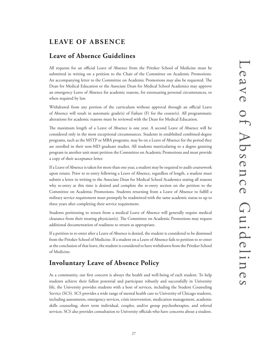# **LEAVE OF ABSENCE**

# **Leave of Absence Guidelines**

All requests for an official Leave of Absence from the Pritzker School of Medicine must be submitted in writing on a petition to the Chair of the Committee on Academic Promotions. An accompanying letter to the Committee on Academic Promotions may also be requested. The Dean for Medical Education or the Associate Dean for Medical School Academics may approve an emergency Leave of Absence for academic reasons, for extenuating personal circumstances, or when required by law.

Withdrawal from any portion of the curriculum without approval through an official Leave of Absence will result in automatic grade(s) of Failure (F) for the course(s). All programmatic alterations for academic reasons must be reviewed with the Dean for Medical Education.

The maximum length of a Leave of Absence is one year. A second Leave of Absence will be considered only in the most exceptional circumstances. Students in established combined-degree programs, such as the MSTP or MBA programs, may be on a Leave of Absence for the period they are enrolled in their non-MD graduate studies. All students matriculating to a degree granting program in another unit must petition the Committee on Academic Promotions and must provide a copy of their acceptance letter.

If a Leave of Absence is taken for more than one year, a student may be required to audit coursework upon return. Prior to re-entry following a Leave of Absence, regardless of length, a student must submit a letter in writing to the Associate Dean for Medical School Academics stating all reasons why re-entry at this time is desired and complete the re-entry section on the petition to the Committee on Academic Promotions. Students returning from a Leave of Absence to fulfill a military service requirement must promptly be readmitted with the same academic status to up to three years after completing their service requirement.

Students petitioning to return from a medical Leave of Absence will generally require medical clearance from their treating physician(s). The Committee on Academic Promotions may request additional documentation of readiness to return as appropriate.

If a petition to re-enter after a Leave of Absence is denied, the student is considered to be dismissed from the Pritzker School of Medicine. If a student on a Leave of Absence fails to petition to re-enter at the conclusion of that leave, the student is considered to have withdrawn from the Pritzker School of Medicine.

# **Involuntary Leave of Absence Policy**

As a community, our first concern is always the health and well-being of each student. To help students achieve their fullest potential and participate robustly and successfully in University life, the University provides students with a host of services, including the Student Counseling Service (SCS). SCS provides a wide range of mental health care to University of Chicago students, including assessments, emergency services, crisis intervention, medication management, academic skills counseling, short term individual, couples, and/or group psychotherapies, and referral services. SCS also provides consultation to University officials who have concerns about a student.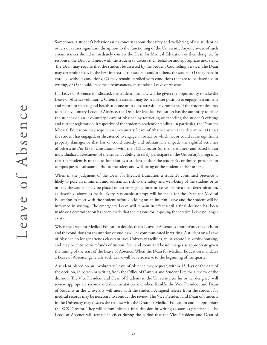Sometimes, a student's behavior raises concerns about the safety and well-being of the student or others or causes significant disruption to the functioning of the University. Anyone aware of such circumstances should immediately contact the Dean for Medical Education or their designee. In response, the Dean will meet with the student to discuss their behavior and appropriate next steps. The Dean may require that the student be assessed by the Student Counseling Service. The Dean may determine that, in the best interest of the student and/or others, the student (1) may remain enrolled without conditions, (2) may remain enrolled with conditions that are to be described in writing, or (3) should, in some circumstances, must take a Leave of Absence.

If a Leave of Absence is indicated, the student normally will be given the opportunity to take the Leave of Absence voluntarily. Often, the student may be in a better position to engage in treatment and return to stable, good health at home or in a less stressful environment. If the student declines to take a voluntary Leave of Absence, the Dean for Medical Education has the authority to place the student on an involuntary Leave of Absence by restricting or canceling the student's existing and further registration, irrespective of the student's academic standing. In particular, the Dean for Medical Education may require an involuntary Leave of Absence when they determine: (1) that the student has engaged, or threatened to engage, in behavior which has or could cause significant property damage, or that has or could directly and substantially impede the rightful activities of others; and/or (2) in consultation with the SCS Director (or their designee) and based on an individualized assessment of the student's ability to safely participate in the University's programs, that the student is unable to function as a student and/or the student's continued presence on campus poses a substantial risk to the safety and well-being of the student and/or others.

When in the judgment of the Dean for Medical Education a student's continued presence is likely to pose an imminent and substantial risk to the safety and well-being of the student or to others, the student may be placed on an emergency interim Leave before a final determination, as described above, is made. Every reasonable attempt will be made for the Dean for Medical Education to meet with the student before deciding on an interim Leave and the student will be informed in writing. The emergency Leave will remain in effect until a final decision has been made or a determination has been made that the reasons for imposing the interim Leave no longer exists.

When the Dean for Medical Education decides that a Leave of Absence is appropriate, the decision and the conditions for resumption of studies will be communicated in writing. A student on a Leave of Absence no longer attends classes or uses University facilities, must vacate University housing, and may be entitled to refunds of tuition, fees, and room and board charges as appropriate given the timing of the start of the Leave of Absence. When the Dean for Medical Education mandates a Leave of Absence, generally such Leave will be retroactive to the beginning of the quarter.

A student placed on an involuntary Leave of Absence may request, within 15 days of the date of the decision, in person or writing from the Office of Campus and Student Life the a review of the decision. The Vice President and Dean of Students in the University (or his or her designee) will review appropriate records and documentation and when feasible the Vice President and Dean of Students in the University will meet with the student. A signed release from the student for medical records may be necessary to conduct the review. The Vice President and Dean of Students in the University may discuss the request with the Dean for Medical Education and if appropriate the SCS Director. They will communicate a final decision in writing as soon as practicable. The Leave of Absence will remain in effect during the period that the Vice President and Dean of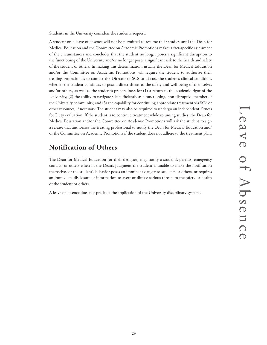Students in the University considers the student's request.

A student on a leave of absence will not be permitted to resume their studies until the Dean for Medical Education and the Committee on Academic Promotions makes a fact-specific assessment of the circumstances and concludes that the student no longer poses a significant disruption to the functioning of the University and/or no longer poses a significant risk to the health and safety of the student or others. In making this determination, usually the Dean for Medical Education and/or the Committee on Academic Promotions will require the student to authorize their treating professionals to contact the Director of SCS to discuss the student's clinical condition, whether the student continues to pose a direct threat to the safety and well-being of themselves and/or others, as well as the student's preparedness for (1) a return to the academic rigor of the University, (2) the ability to navigate self-sufficiently as a functioning, non-disruptive member of the University community, and (3) the capability for continuing appropriate treatment via SCS or other resources, if necessary. The student may also be required to undergo an independent Fitness for Duty evaluation. If the student is to continue treatment while resuming studies, the Dean for Medical Education and/or the Committee on Academic Promotions will ask the student to sign a release that authorizes the treating professional to notify the Dean for Medical Education and/ or the Committee on Academic Promotions if the student does not adhere to the treatment plan.

# **Notification of Others**

The Dean for Medical Education (or their designee) may notify a student's parents, emergency contact, or others when in the Dean's judgment the student is unable to make the notification themselves or the student's behavior poses an imminent danger to students or others, or requires an immediate disclosure of information to avert or diffuse serious threats to the safety or health of the student or others.

A leave of absence does not preclude the application of the University disciplinary systems.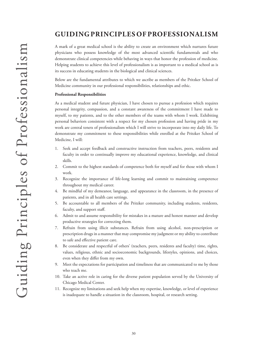# **GUIDING PRINCIPLES OF PROFESSIONALISM**

A mark of a great medical school is the ability to create an environment which nurtures future physicians who possess knowledge of the most advanced scientific fundamentals and who demonstrate clinical competencies while behaving in ways that honor the profession of medicine. Helping students to achieve this level of professionalism is as important to a medical school as is its success in educating students in the biological and clinical sciences.

Below are the fundamental attributes to which we ascribe as members of the Pritzker School of Medicine community in our professional responsibilities, relationships and ethic.

### **Professional Responsibilities**

As a medical student and future physician, I have chosen to pursue a profession which requires personal integrity, compassion, and a constant awareness of the commitment I have made to myself, to my patients, and to the other members of the teams with whom I work. Exhibiting personal behaviors consistent with a respect for my chosen profession and having pride in my work are central tenets of professionalism which I will strive to incorporate into my daily life. To demonstrate my commitment to these responsibilities while enrolled at the Pritzker School of Medicine, I will:

- 1. Seek and accept feedback and constructive instruction from teachers, peers, residents and faculty in order to continually improve my educational experience, knowledge, and clinical skills.
- 2. Commit to the highest standards of competence both for myself and for those with whom I work.
- 3. Recognize the importance of life-long learning and commit to maintaining competence throughout my medical career.
- 4. Be mindful of my demeanor, language, and appearance in the classroom, in the presence of patients, and in all health care settings.
- 5. Be accountable to all members of the Pritzker community, including students, residents, faculty, and support staff.
- 6. Admit to and assume responsibility for mistakes in a mature and honest manner and develop productive strategies for correcting them.
- 7. Refrain from using illicit substances. Refrain from using alcohol, non-prescription or prescription drugs in a manner that may compromise my judgment or my ability to contribute to safe and effective patient care.
- 8. Be considerate and respectful of others' (teachers, peers, residents and faculty) time, rights, values, religious, ethnic and socioeconomic backgrounds, lifestyles, opinions, and choices, even when they differ from my own.
- 9. Meet the expectations for participation and timeliness that are communicated to me by those who teach me.
- 10. Take an active role in caring for the diverse patient population served by the University of Chicago Medical Center.
- 11. Recognize my limitations and seek help when my expertise, knowledge, or level of experience is inadequate to handle a situation in the classroom, hospital, or research setting.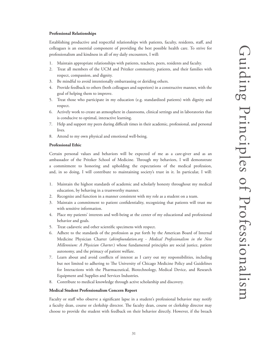### **Professional Relationships**

Establishing productive and respectful relationships with patients, faculty, residents, staff, and colleagues is an essential component of providing the best possible health care. To strive for professionalism and kindness in all of my daily encounters, I will:

- Maintain appropriate relationships with patients, teachers, peers, residents and faculty.
- 2. Treat all members of the UCM and Pritzker community, patients, and their families with respect, compassion, and dignity.
- Be mindful to avoid intentionally embarrassing or deriding others.
- 4. Provide feedback to others (both colleagues and superiors) in a constructive manner, with the goal of helping them to improve.
- 5. Treat those who participate in my education (e.g. standardized patients) with dignity and respect.
- 6. Actively work to create an atmosphere in classrooms, clinical settings and in laboratories that is conducive to optimal, interactive learning.
- 7. Help and support my peers during difficult times in their academic, professional, and personal lives.
- 8. Attend to my own physical and emotional well-being.

### **Professional Ethic**

Certain personal values and behaviors will be expected of me as a care-giver and as an ambassador of the Pritzker School of Medicine. Through my behaviors, I will demonstrate a commitment to honoring and upholding the expectations of the medical profession, and, in so doing, I will contribute to maintaining society's trust in it. In particular, I will:

- 1. Maintain the highest standards of academic and scholarly honesty throughout my medical education, by behaving in a trustworthy manner.
- 2. Recognize and function in a manner consistent with my role as a student on a team.
- 3. Maintain a commitment to patient confidentiality, recognizing that patients will trust me with sensitive information.
- 4. Place my patients' interests and well-being at the center of my educational and professional behavior and goals.
- 5. Treat cadaveric and other scientific specimens with respect.
- 6. Adhere to the standards of the profession as put forth by the American Board of Internal Medicine Physician Charter (*abimfoundation.org - Medical Professionalism in the New Millennium: A Physician Charter.*) whose fundamental principles are social justice, patient autonomy, and the primacy of patient welfare.
- 7. Learn about and avoid conflicts of interest as I carry out my responsibilities, including but not limited to adhering to The University of Chicago Medicine Policy and Guidelines for Interactions with the Pharmaceutical, Biotechnology, Medical Device, and Research Equipment and Supplies and Services Industries.
- 8. Contribute to medical knowledge through active scholarship and discovery.

### **Medical Student Professionalism Concern Report**

Faculty or staff who observe a significant lapse in a student's professional behavior may notify a faculty dean, course or clerkship director. The faculty dean, course or clerkship director may choose to provide the student with feedback on their behavior directly. However, if the breach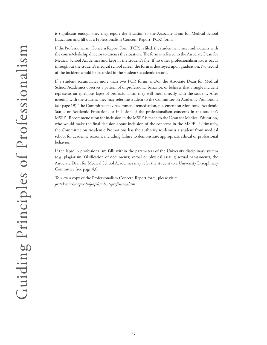is significant enough they may report the situation to the Associate Dean for Medical School Education and fill out a Professionalism Concern Report (PCR) form.

If the Professionalism Concern Report Form (PCR) is filed, the student will meet individually with the course/clerkship director to discuss the situation. The form is referred to the Associate Dean for Medical School Academics and kept in the student's file. If no other professionalism issues occur throughout the student's medical school career, the form is destroyed upon graduation. No record of the incident would be recorded in the student's academic record.

If a student accumulates more than two PCR forms and/or the Associate Dean for Medical School Academics observes a pattern of unprofessional behavior, or believes that a single incident represents an egregious lapse of professionalism they will meet directly with the student. After meeting with the student, they may refer the student to the Committee on Academic Promotions (see page 19). The Committee may recommend remediation, placement on Monitored Academic Status or Academic Probation, or inclusion of the professionalism concerns in the student's MSPE. Recommendation for inclusion in the MSPE is made to the Dean for Medical Education, who would make the final decision about inclusion of the concerns in the MSPE. Ultimately, the Committee on Academic Promotions has the authority to dismiss a student from medical school for academic reasons, including failure to demonstrate appropriate ethical or professional behavior.

If the lapse in professionalism falls within the parameters of the University disciplinary system (e.g. plagiarism; falsification of documents; verbal or physical assault; sexual harassment), the Associate Dean for Medical School Academics may refer the student to a University Disciplinary Committee (see page 43).

To view a copy of the Professionalism Concern Report form, please visit: *pritzker.uchicago.edu/page/student-professionalism*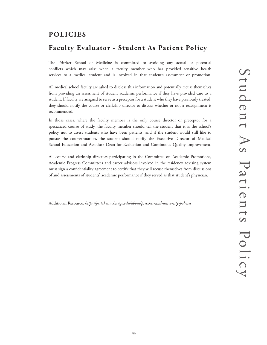# **POLICIES**

# **Faculty Evaluator - Student As Patient Policy**

The Pritzker School of Medicine is committed to avoiding any actual or potential conflicts which may arise when a faculty member who has provided sensitive health services to a medical student and is involved in that student's assessment or promotion.

All medical school faculty are asked to disclose this information and potentially recuse themselves from providing an assessment of student academic performance if they have provided care to a student. If faculty are assigned to serve as a preceptor for a student who they have previously treated, they should notify the course or clerkship director to discuss whether or not a reassignment is recommended.

In those cases, where the faculty member is the only course director or preceptor for a specialized course of study, the faculty member should tell the student that it is the school's policy not to assess students who have been patients, and if the student would still like to pursue the course/rotation, the student should notify the Executive Director of Medical School Education and Associate Dean for Evaluation and Continuous Quality Improvement.

All course and clerkship directors participating in the Committee on Academic Promotions, Academic Progress Committees and career advisors involved in the residency advising system must sign a confidentiality agreement to certify that they will recuse themselves from discussions of and assessments of students' academic performance if they served as that student's physician.

Additional Resource: *https://pritzker.uchicago.edu/about/pritzker-and-university-policies*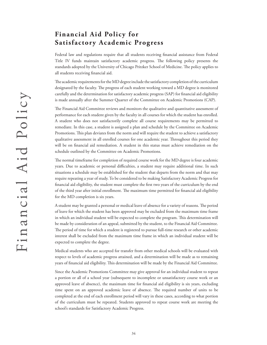# **Financial Aid Policy for Satisfactory Academic Progress**

Federal law and regulations require that all students receiving financial assistance from Federal Title IV funds maintain satisfactory academic progress. The following policy presents the standards adopted by the University of Chicago Pritzker School of Medicine. The policy applies to all students receiving financial aid.

The academic requirements for the MD degree include the satisfactory completion of the curriculum designated by the faculty. The progress of each student working toward a MD degree is monitored carefully and the determination for satisfactory academic progress (SAP) for financial aid eligibility is made annually after the Summer Quarter of the Committee on Academic Promotions (CAP).

The Financial Aid Committee reviews and monitors the qualitative and quantitative assessment of performance for each student given by the faculty in all courses for which the student has enrolled. A student who does not satisfactorily complete all course requirements may be permitted to remediate. In this case, a student is assigned a plan and schedule by the Committee on Academic Promotions. This plan deviates from the norm and will require the student to achieve a satisfactory qualitative assessment in all enrolled courses for one academic year. Throughout this period they will be on financial aid remediation. A student in this status must achieve remediation on the schedule outlined by the Committee on Academic Promotions.

The normal timeframe for completion of required course work for the MD degree is four academic years. Due to academic or personal difficulties, a student may require additional time. In such situations a schedule may be established for the student that departs from the norm and that may require repeating a year of study. To be considered to be making Satisfactory Academic Progress for financial aid eligibility, the student must complete the first two years of the curriculum by the end of the third year after initial enrollment. The maximum time permitted for financial aid eligibility for the MD completion is six years.

A student may be granted a personal or medical leave of absence for a variety of reasons. The period of leave for which the student has been approved may be excluded from the maximum time frame in which an individual student will be expected to complete the program. This determination will be made by consideration of an appeal, submitted by the student, to the Financial Aid Committee. The period of time for which a student is registered to pursue full-time research or other academic interest shall be excluded from the maximum time frame in which an individual student will be expected to complete the degree.

Medical students who are accepted for transfer from other medical schools will be evaluated with respect to levels of academic progress attained, and a determination will be made as to remaining years of financial aid eligibility. This determination will be made by the Financial Aid Committee.

Since the Academic Promotions Committee may give approval for an individual student to repeat a portion or all of a school year (subsequent to incomplete or unsatisfactory course work or an approved leave of absence), the maximum time for financial aid eligibility is six years, excluding time spent on an approved academic leave of absence. The required number of units to be completed at the end of each enrollment period will vary in these cases, according to what portion of the curriculum must be repeated. Students approved to repeat course work are meeting the school's standards for Satisfactory Academic Progress.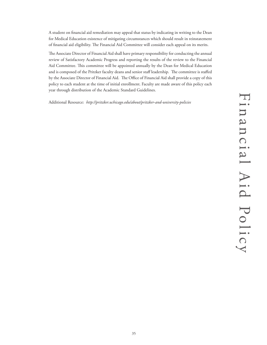A student on financial aid remediation may appeal that status by indicating in writing to the Dean for Medical Education existence of mitigating circumstances which should result in reinstatement of financial aid eligibility. The Financial Aid Committee will consider each appeal on its merits.

The Associate Director of Financial Aid shall have primary responsibility for conducting the annual review of Satisfactory Academic Progress and reporting the results of the review to the Financial Aid Committee. This committee will be appointed annually by the Dean for Medical Education and is composed of the Pritzker faculty deans and senior staff leadership. The committee is staffed by the Associate Director of Financial Aid. The Office of Financial Aid shall provide a copy of this policy to each student at the time of initial enrollment. Faculty are made aware of this policy each year through distribution of the Academic Standard Guidelines.

Additional Resource: *http://pritzker.uchicago.edu/about/pritzker-and-university-policies*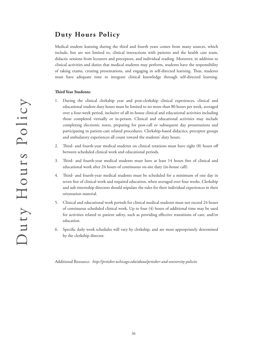# **Duty Hours Policy**

Medical student learning during the third and fourth years comes from many sources, which include, but are not limited to, clinical interactions with patients and the health care team, didactic sessions from lecturers and preceptors, and individual reading. Moreover, in addition to clinical activities and duties that medical students may perform, students have the responsibility of taking exams, creating presentations, and engaging in self-directed learning. Thus, students must have adequate time to integrate clinical knowledge through self-directed learning.

### **Third Year Students:**

- 1. During the clinical clerkship year and post-clerkship clinical experiences, clinical and educational student duty hours must be limited to no more than 80 hours per week, averaged over a four-week period, inclusive of all in-house clinical and educational activities including those completed virtually or in-person. Clinical and educational activities may include completing electronic notes, preparing for post-call or subsequent day presentations and participating in patient-care related procedures. Clerkship-based didactics, preceptor groups and ambulatory experiences all count toward the students' duty hours.
- 2. Third- and fourth-year medical students on clinical rotations must have eight (8) hours off between scheduled clinical work and educational periods.
- 3. Third- and fourth-year medical students must have at least 14 hours free of clinical and educational work after 24 hours of continuous on-site duty (in-house call).
- 4. Third- and fourth-year medical students must be scheduled for a minimum of one day in seven free of clinical work and required education, when averaged over four weeks. Clerkship and sub-internship directors should stipulate the rules for their individual experiences in their orientation material.
- 5. Clinical and educational work periods for clinical medical students must not exceed 24 hours of continuous scheduled clinical work. Up to four (4) hours of additional time may be used for activities related to patient safety, such as providing effective transitions of care, and/or education.
- 6. Specific daily work schedules will vary by clerkship, and are most appropriately determined by the clerkship director.

Additional Resource: *http://pritzker.uchicago.edu/about/pritzker-and-university-policies*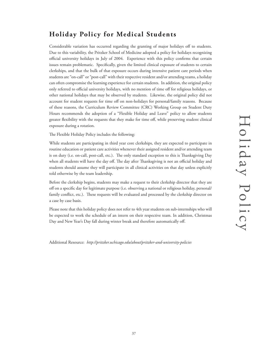# **Holiday Policy for Medical Students**

Considerable variation has occurred regarding the granting of major holidays off to students. Due to this variability, the Pritzker School of Medicine adopted a policy for holidays recognizing official university holidays in July of 2004. Experience with this policy confirms that certain issues remain problematic. Specifically, given the limited clinical exposure of students to certain clerkships, and that the bulk of that exposure occurs during intensive patient care periods when students are "on-call" or "post-call" with their respective resident and/or attending teams, a holiday can often compromise the learning experience for certain students. In addition, the original policy only referred to official university holidays, with no mention of time off for religious holidays, or other national holidays that may be observed by students. Likewise, the original policy did not account for student requests for time off on non-holidays for personal/family reasons. Because of these reasons, the Curriculum Review Committee (CRC) Working Group on Student Duty Hours recommends the adoption of a "Flexible Holiday and Leave" policy to allow students greater flexibility with the requests that they make for time off, while preserving student clinical exposure during a rotation.

The Flexible Holiday Policy includes the following:

While students are participating in third year core clerkships, they are expected to participate in routine education or patient care activities whenever their assigned resident and/or attending team is on duty (i.e. on-call, post-call, etc.). The only standard exception to this is Thanksgiving Day when all students will have the day off. The day after Thanksgiving is not an official holiday and students should assume they will participate in all clinical activities on that day unless explicitly told otherwise by the team leadership.

Before the clerkship begins, students may make a request to their clerkship director that they are off on a specific day for legitimate purpose (i.e. observing a national or religious holiday, personal/ family conflict, etc.). These requests will be evaluated and processed by the clerkship director on a case by case basis.

Please note that this holiday policy does not refer to 4th year students on sub-internships who will be expected to work the schedule of an intern on their respective team. In addition, Christmas Day and New Year's Day fall during winter break and therefore automatically off.

Additional Resource: *http://pritzker.uchicago.edu/about/pritzker-and-university-policies*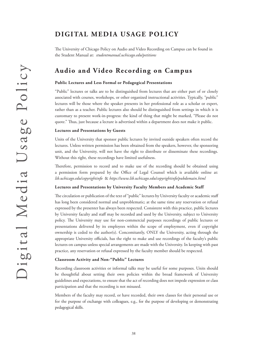# **DIGITAL MEDIA USAGE POLICY**

The University of Chicago Policy on Audio and Video Recording on Campus can be found in the Student Manual at: *studentmanual.uchicago.edu/petitions*

# **Audio and Video Recording on Campus**

### **Public Lectures and Less Formal or Pedagogical Presentations**

"Public" lectures or talks are to be distinguished from lectures that are either part of or closely associated with courses, workshops, or other organized instructional activities. Typically, "public" lectures will be those where the speaker presents in her professional role as a scholar or expert, rather than as a teacher. Public lectures also should be distinguished from settings in which it is customary to present work-in-progress: the kind of thing that might be marked, "Please do not quote." Thus, just because a lecture is advertised within a department does not make it public.

### **Lectures and Presentations by Guests**

Units of the University that sponsor public lectures by invited outside speakers often record the lectures. Unless written permission has been obtained from the speakers, however, the sponsoring unit, and the University, will not have the right to distribute or disseminate these recordings. Without this right, these recordings have limited usefulness.

Therefore, permission to record and to make use of the recording should be obtained using a permission form prepared by the Office of Legal Counsel which is available online at: *lib.uchicago.edu/copyrightinfo* & *https://www.lib.uchicago.edu/copyrightinfo/pubdomain.html*

### **Lectures and Presentations by University Faculty Members and Academic Staff**

The circulation or publication of the text of "public" lectures by University faculty or academic staff has long been considered normal and unproblematic; at the same time any reservation or refusal expressed by the presenter has always been respected. Consistent with this practice, public lectures by University faculty and staff may be recorded and used by the University, subject to University policy. The University may use for non-commercial purposes recordings of public lectures or presentations delivered by its employees within the scope of employment, even if copyright ownership is ceded to the author(s). Concomitantly, ONLY the University, acting through the appropriate University officials, has the right to make and use recordings of the faculty's public lectures on campus unless special arrangements are made with the University. In keeping with past practice, any reservation or refusal expressed by the faculty member should be respected.

### **Classroom Activity and Non-"Public" Lectures**

Recording classroom activities or informal talks may be useful for some purposes. Units should be thoughtful about setting their own policies within the broad framework of University guidelines and expectations, to ensure that the act of recording does not impede expression or class participation and that the recording is not misused.

Members of the faculty may record, or have recorded, their own classes for their personal use or for the purpose of exchange with colleagues, e.g., for the purpose of developing or demonstrating pedagogical skills.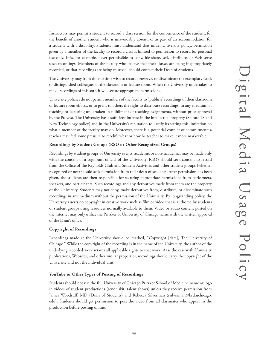Instructors may permit a student to record a class session for the convenience of the student, for the benefit of another student who is unavoidably absent, or as part of an accommodation for a student with a disability. Students must understand that under University policy, permission given by a member of the faculty to record a class is limited to permission to record for personal use only. It is, for example, never permissible to copy, file-share, sell, distribute, or Web-serve such recordings. Members of the faculty who believe that their classes are being inappropriately recorded, or that recordings are being misused, should contact their Dean of Students.

The University may from time to time wish to record, preserve, or disseminate the exemplary work of distinguished colleagues in the classroom or lecture room. When the University undertakes to make recordings of this sort, it will secure appropriate permissions.

University policies do not permit members of the faculty to "publish" recordings of their classroom or lecture room efforts, or to grant to others the right to distribute recordings, in any medium, of teaching or lecturing undertaken in fulfillment of teaching assignments, without prior approval by the Provost. The University has a sufficient interest in the intellectual property (Statute 18 and New Technology policy) and in the University's reputation to justify its setting this limitation on what a member of the faculty may do. Moreover, there is a potential conflict of commitment: a teacher may feel some pressure to modify what or how he teaches to make it more marketable.

### **Recordings by Student Groups (RSO or Other Recognized Groups)**

Recordings by student groups of University events, academic or non- academic, may be made only with the consent of a cognizant official of the University. RSO's should seek consent to record from the Office of the Reynolds Club and Student Activities and other student groups (whether recognized or not) should seek permission from their dean of students. After permission has been given, the students are then responsible for securing appropriate permissions from performers, speakers, and participants. Such recordings and any derivatives made from them are the property of the University. Students may not copy, make derivatives from, distribute, or disseminate such recordings in any medium without the permission of the University. By longstanding policy, the University asserts no copyright in creative work such as film or video that is authored by students or student groups using resources normally available to them. Video or audio content posted on the internet may only utilize the Pritzker or University of Chicago name with the written approval of the Dean's office.

### **Copyright of Recordings**

Recordings made at the University should be marked, "Copyright [date], The University of Chicago." While the copyright of the recording is in the name of the University, the author of the underlying recorded work retains all applicable rights to that work. As is the case with University publications, Websites, and other similar properties, recordings should carry the copyright of the University and not the individual unit.

### **YouTube or Other Types of Posting of Recordings**

Students should not use the full University of Chicago Pritzker School of Medicine name or logo in videos of student productions (senor skit, talent shows) unless they receive permission from James Woodruff, MD (Dean of Students) and Rebecca Silverman (rsilverman@bsd.uchicago. edu). Students should get permission to post the video from all classmates who appear in the production before posting online.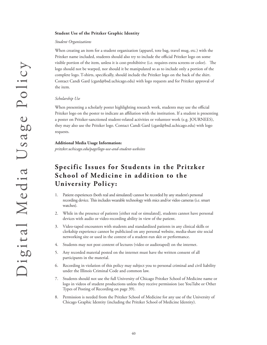### **Student Use of the Pritzker Graphic Identity**

### *Student Organizations*

When creating an item for a student organization (apparel, tote bag, travel mug, etc.) with the Pritzker name included, students should also try to include the official Pritzker logo on some visible portion of the item, unless it is cost-prohibitive (i.e. requires extra screens or color). The logo should not be warped, nor should it be manipulated so as to include only a portion of the complete logo. T-shirts, specifically, should include the Pritzker logo on the back of the shirt. Contact Candi Gard (cgard@bsd.uchicago.edu) with logo requests and for Pritzker approval of the item.

### *Scholarship Use*

When presenting a scholarly poster highlighting research work, students may use the official Pritzker logo on the poster to indicate an affiliation with the institution. If a student is presenting a poster on Pritzker-sanctioned student-related activities or volunteer work (e.g. JOURNEES), they may also use the Pritzker logo. Contact Candi Gard (cgard@bsd.uchicago.edu) with logo requests.

### **Additional Media Usage Information:**

*pritzker.uchicago.edu/page/logo-use-and-student-websites*

# **Specific Issues for Students in the Pritzker School of Medicine in addition to the University Policy:**

- 1. Patient experiences (both real and simulated) cannot be recorded by any student's personal recording device. This includes wearable technology with mics and/or video cameras (i.e. smart watches).
- 2. While in the presence of patients [either real or simulated], students cannot have personal devices with audio or video-recording ability in view of the patient.
- 3. Video-taped encounters with students and standardized patients in any clinical skills or clerkship experience cannot be publicized on any personal website, media-share site social networking site or used in the context of a student-run skit or performance.
- 4. Students may not post content of lectures (video or audiotaped) on the internet.
- 5. Any recorded material posted on the internet must have the written consent of all participants in the material.
- 6. Recording in violation of this policy may subject you to personal criminal and civil liability under the Illinois Criminal Code and common law.
- 7. Students should not use the full University of Chicago Pritzker School of Medicine name or logo in videos of student productions unless they receive permission (see YouTube or Other Types of Posting of Recording on page 39).
- 8. Permission is needed from the Pritzker School of Medicine for any use of the University of Chicago Graphic Identity (including the Pritzker School of Medicine Identity).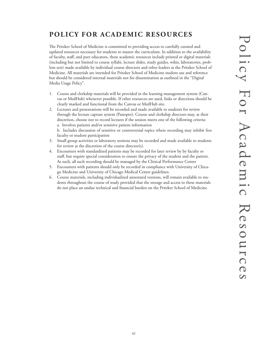# **POLICY FOR ACADEMIC RESOURCES**

The Pritzker School of Medicine is committed to providing access to carefully curated and updated resources necessary for students to master the curriculum. In addition to the availability of faculty, staff, and peer educators, these academic resources include printed or digital materials (including but not limited to course syllabi, lecture slides, study guides, wikis, laboratories, problem sets) made available by individual course directors and other leaders at the Pritzker School of Medicine. All materials are intended for Pritzker School of Medicine student use and reference but should be considered internal materials not for dissemination as outlined in the "Digital Media Usage Policy".

- 1. Course and clerkship materials will be provided in the learning management system (Canvas or MedHub) whenever possible. If other resources are used, links or directions should be clearly marked and functional from the Canvas or MedHub site.
- 2. Lectures and presentations will be recorded and made available to students for review through the lecture capture system (Panopto). Course and clerkship directors may, at their discretion, choose not to record lectures if the session meets one of the following criteria: a. Involves patients and/or sensitive patient information b. Includes discussion of sensitive or controversial topics where recording may inhibit free
- faculty or student participation 3. Small group activities or laboratory sessions may be recorded and made available to students for review at the discretion of the course director(s).
- 4. Encounters with standardized patients may be recorded for later review by by faculty or staff, but require special consideration to ensure the privacy of the student and the patient. As such, all such recording should be managed by the Clinical Performance Center
- 5. Encounters with patients should only be recorded in compliance with University of Chicago Medicine and University of Chicago Medical Center guidelines.
- 6. Course materials, including individualized annotated versions, will remain available to students throughout the course of study provided that the storage and access to these materials do not place an undue technical and financial burden on the Pritzker School of Medicine.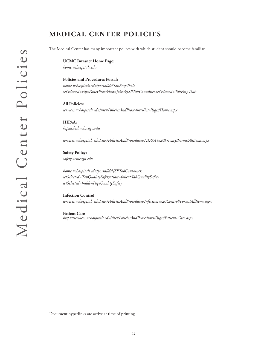# **MEDICAL CENTER POLICIES**

The Medical Center has many important polices with which student should become familiar.

**UCMC Intranet Home Page:**  *home.uchospitals.edu*

**Policies and Procedures Portal:**  *home.uchospitals.edu/portal/dt?TabEmpTools. setSelected=PagePolicyProc&last=false&JSPTabContainer.setSelected=TabEmpTools*

**All Policies:** *services.uchospitals.edu/sites/PoliciesAndProcedures/SitePages/Home.aspx*

**HIPAA:**  *hipaa.bsd.uchicago.edu*

*services.uchospitals.edu/sites/PoliciesAndProcedures/HIPAA%20Privacy/Forms/AllItems.aspx*

**Safety Policy:**  *safety.uchicago.edu*

*home.uchospitals.edu/portal/dt?JSPTabContainer. setSelected=TabQualitySafety&last=false&TabQualitySafety. setSelected=hiddenPageQualitySafety*

**Infection Control**  *services.uchospitals.edu/sites/PoliciesAndProcedures/Infection%20Control/Forms/AllItems.aspx*

**Patient Care** *https://services.uchospitals.edu/sites/PoliciesAndProcedures/Pages/Patient-Care.aspx*

Document hyperlinks are active at time of printing.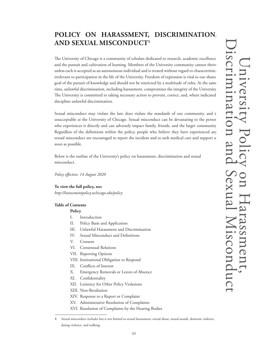# **POLICY ON HARASSMENT, DISCRIMINATION, AND SEXUAL MISCONDUCT1**

The University of Chicago is a community of scholars dedicated to research, academic excellence, and the pursuit and cultivation of learning. Members of the University community cannot thrive unless each is accepted as an autonomous individual and is treated without regard to characteristic irrelevant to participation in the life of the University. Freedom of expression is vital to our shared goal of the pursuit of knowledge and should not be restricted by a multitude of rules. At the same time, unlawful discrimination, including harassment, compromises the integrity of the University. The University is committed to taking necessary action to prevent, correct, and, where indicated, discipline unlawful discrimination.

Sexual misconduct may violate the law, does violate the standards of our community, and is unacceptable at the University of Chicago. Sexual misconduct can be devastating to the person who experiences it directly and can adversely impact family, friends, and the larger community. Regardless of the definitions within the policy, people who believe they have experienced any sexual misconduct are encouraged to report the incident and to seek medical care and support as soon as possible.

Below is the outline of the University's policy on harassment, discrimination and sexual misconduct.

*Policy effective: 14 August 2020*

### **To view the full policy, see:**

*http://harassmentpolicy.uchicago.edu/policy*

### **Table of Contents**

### **Policy**

- I. Introduction
- II. Policy Basis and Application
- III. Unlawful Harassment and Discrimination
- IV. Sexual Misconduct and Definitions
- V. Consent
- VI. Consensual Relations
- VII. Reporting Options
- VIII. Institutional Obligation to Respond
- IX. Conflicts of Interest
- X. Emergency Removals or Leaves of Absence
- XI. Confidentiality
- XII. Leniency for Other Policy Violations
- XIII. Non-Retaliation

dating violence, and stalking.

- XIV. Response to a Report or Complaint
- XV. Administrative Resolution of Complaints
- XVI. Resolution of Complaints by the Hearing Bodies

Sexual misconduct includes but is not limited to sexual harassment, sexual abuse, sexual assault, domestic violence, **1**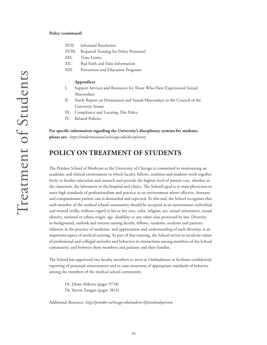### **Policy (continued)**

- XVII. Informatl Resolution
- XVIII. Required Training for Policy Personnel
- XIX. Time Limits
- XX. Bad Faith and False Information
- XXI. Prevention and Education Programs

### **Appendices**

- I. Support Services and Resources for Those Who Have Experienced Sexual Misconduct
- II. Yearly Report on Harassment and Sexual Misconduct to the Council of the University Senate
- III. Compliance and Locating This Policy
- IV. Related Policies

**For specific information regarding the University's disciplinary systems for students, please see:** *https://studentmanual.uchicago.edu/disciplinary*

# **POLICY ON TREATMENT OF STUDENTS**

The Pritzker School of Medicine at the University of Chicago is committed to maintaining an academic and clinical environment in which faculty, fellows, residents and students work together freely to further education and research and provide the highest level of patient care, whether in the classroom, the laboratory or the hospital and clinics. The School's goal is to train physicians to meet high standards of professionalism and practice in an environment where effective, humane and compassionate patient care is demanded and expected. To this end, the School recognizes that each member of the medical school community should be accepted as an autonomous individual and treated civilly, without regard to his or her race, color, religion, sex, sexual orientation, sexual identity, national or ethnic origin, age, disability or any other class protected by law. Diversity in background, outlook and interest among faculty, fellows, residents, students and patients inherent in the practice of medicine, and appreciation and understanding of such diversity, is an important aspect of medical training. As part of that training, the School strives to inculcate values of professional and collegial attitudes and behaviors in interactions among members of the School community, and between these members and patients and their families.

The School has appointed two faculty members to serve as Ombudsmen to facilitate confidential reporting of potential mistreatment and to raise awareness of appropriate standards of behavior among the members of the medical school community.

Dr. Diane Altkorn (pager 9718) Dr. Steven Zangan (pager 2816)

Additional Resource: *http://pritzker.uchicago.edu/student-life/ombudspersons*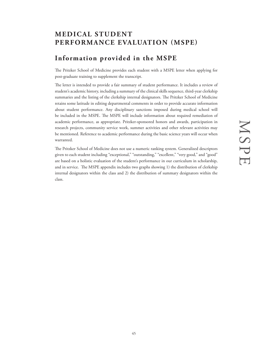# **MEDICAL STUDENT PERFORMANCE EVALUATION (MSPE)**

# **Information provided in the MSPE**

The Pritzker School of Medicine provides each student with a MSPE letter when applying for post-graduate training to supplement the transcript.

The letter is intended to provide a fair summary of student performance. It includes a review of student's academic history, including a summary of the clinical skills sequence, third-year clerkship summaries and the listing of the clerkship internal designators. The Pritzker School of Medicine retains some latitude in editing departmental comments in order to provide accurate information about student performance. Any disciplinary sanctions imposed during medical school will be included in the MSPE. The MSPE will include information about required remediation of academic performance, as appropriate. Pritzker-sponsored honors and awards, participation in research projects, community service work, summer activities and other relevant activities may be mentioned. Reference to academic performance during the basic science years will occur when warranted.

The Pritzker School of Medicine does not use a numeric ranking system. Generalized descriptors given to each student including "exceptional," "outstanding," "excellent," "very good," and "good" are based on a holistic evaluation of the student's performance in our curriculum in scholarship, and in service. The MSPE appendix includes two graphs showing 1) the distribution of clerkship internal designators within the class and 2) the distribution of summary designators within the class.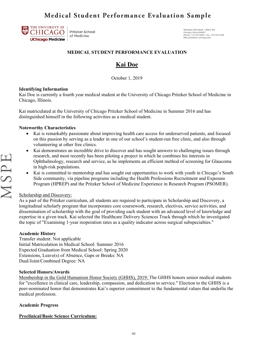# **Medical Student Performance Evaluation Sample**



Pritzker School of Medicine

924 East 57th Street • BSLC 104<br>Chicago, Illinois 60637<br>Phone: 773-702-1939 • Fax: 773-702-2598 http://pritzker.uchicago.edu

### **MEDICAL STUDENT PERFORMANCE EVALUATION**

# **Kai Doe**

October 1, 2019

### **Identifying Information**

Kai Doe is currently a fourth year medical student at the University of Chicago Pritzker School of Medicine in Chicago, Illinois.

Kai matriculated at the University of Chicago Pritzker School of Medicine in Summer 2016 and has distinguished himself in the following activities as a medical student.

### **Noteworthy Characteristics**

- Kai is remarkably passionate about improving health care access for underserved patients, and focused on this passion by serving as a leader in one of our school's student-run free clinic, and also through volunteering at other free clinics.
- Kai demonstrates an incredible drive to discover and has sought answers to challenging issues through research, and most recently has been piloting a project in which he combines his interests in Ophthalmology, research and service, as he implements an efficient method of screening for Glaucoma in high-risk populations.
- Kai is committed to mentorship and has sought out opportunities to work with youth in Chicago's South Side community, via pipeline programs including the Health Professions Recruitment and Exposure Program (HPREP) and the Pritzker School of Medicine Experience in Research Program (PSOMER).

### Scholarship and Discovery:

As a part of the Pritzker curriculum, all students are required to participate in Scholarship and Discovery, a longitudinal scholarly program that incorporates core coursework, research, electives, service activities, and dissemination of scholarship with the goal of providing each student with an advanced level of knowledge and expertise in a given track. Kai selected the Healthcare Delivery Sciences Track through which he investigated the topic of "Examining 1-year reoperation rates as a quality indicator across surgical subspecialties."

### **Academic History**

Transfer student: Not applicable Initial Matriculation in Medical School: Summer 2016 Expected Graduation from Medical School: Spring 2020 Extensions, Leave(s) of Absence, Gaps or Breaks: NA Dual/Joint/Combined Degree: NA

### **Selected Honors/Awards**

Membership in the Gold Humanism Honor Society (GHHS), 2019: The GHHS honors senior medical students for "excellence in clinical care, leadership, compassion, and dedication to service." Election to the GHHS is a peer-nominated honor that demonstrates Kai's superior commitment to the fundamental values that underlie the medical profession.

### **Academic Progress**

### **Preclinical/Basic Science Curriculum:**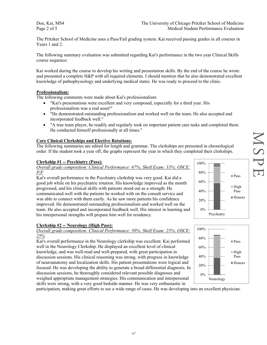Doe, Kai, MS4 Page 2 of 5

The Pritzker School of Medicine uses a Pass/Fail grading system. Kai received passing grades in all courses in Years 1 and 2.

The following summary evaluation was submitted regarding Kai's performance in the two year Clinical Skills course sequence:

Kai worked during the course to develop his writing and presentation skills. By the end of the course he wrote and presented a complete H&P with all required elements. I should mention that he also demonstrated excellent knowledge of pathophysiology and underlying medical states. He was ready to proceed to the clinic.

### **Professionalism:**

The following comments were made about Kai's professionalism:

- "Kai's presentations were excellent and very composed, especially for a third year. His professionalism was a real asset!"
- "He demonstrated outstanding professionalism and worked well on the team. He also accepted and incorporated feedback well."
- "A true team player, he readily and regularly took on important patient care tasks and completed them. He conducted himself professionally at all times."

### **Core Clinical Clerkships and Elective Rotations:**

The following summaries are edited for length and grammar. The clerkships are presented in chronological order. If the student took a year off, the graphs represent the year in which they completed their clerkships.

### **Clerkship #1 -- Psychiatry (Pass):**

*Overall grade composition: Clinical Performance: 67%; Shelf Exam: 33%; OSCE: P/F*

Kai's overall performance in the Psychiatry clerkship was very good. Kai did a good job while on his psychiatric rotation. His knowledge improved as the month progressed, and his clinical skills with patients stood out as a strength. He communicated well with the patients he worked with on the consult service and was able to connect with them easily. As he saw more patients his confidence improved. He demonstrated outstanding professionalism and worked well on the team. He also accepted and incorporated feedback well. His interest in learning and his interpersonal strengths will prepare him well for residency.

### **Clerkship #2 -- Neurology (High Pass):**

### *Overall grade composition: Clinical Performance: 50%; Shelf Exam: 25%; OSCE: 25%*

Kai's overall performance in the Neurology clerkship was excellent. Kai performed well in the Neurology Clerkship. He displayed an excellent level of clinical knowledge, and was well-read and well-prepared, with great participation in discussion sessions. His clinical reasoning was strong, with progress in knowledge of neuroanatomy and localization skills. His patient presentations were logical and focused. He was developing the ability to generate a broad differential diagnosis. In discussion sessions, he thoroughly considered relevant possible diagnoses and weighed appropriate management strategies. His communication and interpersonal skills were strong, with a very good bedside manner. He was very enthusiastic in

participation, making great efforts to see a wide range of cases. He was developing into an excellent physician.



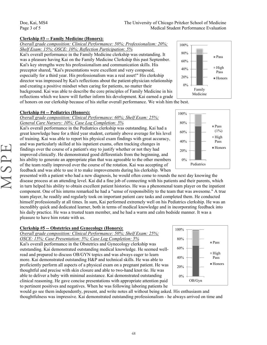MSPE

### **Clerkship #3 -- Family Medicine (Honors):**

*Overall grade composition: Clinical Performance: 50%; Professionalism: 20%;* 

*Shelf Exam: 15%; OSCE: 10%; Reflection Participation: 5%* Kai's overall performance in the Family Medicine clerkship was outstanding. It

was a pleasure having Kai on the Family Medicine Clerkship this past September. Kai's key strengths were his professionalism and communication skills. His preceptor shared, "Kai's presentations were excellent and very composed, especially for a third year. His professionalism was a real asset!" His clerkship director was impressed by Kai's reflections about the patient-physician relationship and creating a positive mindset when caring for patients, no matter their background. Kai was able to describe the core principles of Family Medicine in his reflections which we know will further inform his development. Kai earned a grade



Pass  $(1%)$  $\blacksquare$  High Pass Honors

of honors on our clerkship because of his stellar overall performance. We wish him the best.

### **Clerkship #4 -- Pediatrics (Honors):**

*Overall grade composition: Clinical Performance: 60%; Shelf Exam: 25%; General Care Nursery: 10%; Case Log Completion: 5%*

Kai's overall performance in the Pediatrics clerkship was outstanding. Kai had a great knowledge base for a third year student, certainly above average for his level of training. Kai was able to report his physical exam findings with great accuracy, and was particularly skilled at his inpatient exams, often tracking changes in findings over the course of a patient's stay to justify whether or not they had improved clinically. He demonstrated good differentials from the beginning, and his ability to generate an appropriate plan that was agreeable to the other members of the team really improved over the course of the rotation. Kai was accepting of feedback and was able to use it to make improvements during his clerkship. When

presented with a patient who had a new diagnosis, he would often come to rounds the next day knowing the disease process at an attending level. Kai did a fine job of connecting with his patients and their parents, which in turn helped his ability to obtain excellent patient histories. He was a phenomenal team player on the inpatient component. One of his interns remarked he had a "sense of responsibility to the team that was awesome." A true team player, he readily and regularly took on important patient care tasks and completed them. He conducted himself professionally at all times. In sum, Kai performed extremely well on his Pediatrics clerkship. He was an incredibly quick and dedicated learner, both in terms of medical knowledge and in incorporating feedback into his daily practice. He was a trusted team member, and he had a warm and calm bedside manner. It was a pleasure to have him rotate with us.

### **Clerkship #5 -- Obstetrics and Gynecology (Honors):**

*Overall grade composition: Clinical Performance: 50%; Shelf Exam: 25%;* 

*OSCE: 15%; Case Presentation: 5%; Case Log Completion: 5%*

Kai's overall performance in the Obstetrics and Gynecology clerkship was outstanding. Kai demonstrated outstanding medical knowledge. He seemed wellread and prepared to discuss OB/GYN topics and was always eager to learn more. Kai demonstrated outstanding H&P and technical skills. He was able to proficiently perform all aspects of a physical exam on a pregnant patient. He was thoughtful and precise with skin closure and able to two-hand knot tie. He was able to deliver a baby with minimal assistance. Kai demonstrated outstanding clinical reasoning. He gave concise presentations with appropriate attention paid to pertinent positives and negatives. When he was following laboring patients he



would go see them independently, present, and write notes all without being asked. His enthusiasm and thoughtfulness was impressive. Kai demonstrated outstanding professionalism - he always arrived on time and

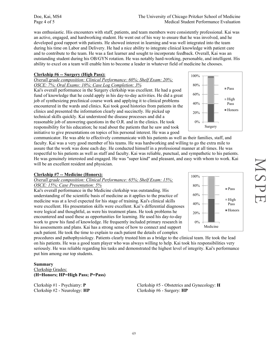Doe, Kai, MS4 Page 4 of 5

was enthusiastic. His encounters with staff, patients, and team members were consistently professional. Kai was an active, engaged, and hardworking student. He went out of his way to ensure that he was involved, and he developed good rapport with patients. He showed interest in learning and was well integrated into the team during his time on Labor and Delivery. He had a nice ability to integrate clinical knowledge with patient care and to contribute to the team. He was a fast learner and sought to incorporate feedback. Overall, Kai was an outstanding student during his OB/GYN rotation. He was notably hard-working, personable, and intelligent. His ability to excel on a team will enable him to become a leader in whatever field of medicine he chooses.

### **Clerkship #6 -- Surgery (High Pass):**

### *Overall grade composition: Clinical Performance: 60%; Shelf Exam: 20%; OSCE: 7%; Oral Exams: 10%; Case Log Completion: 3%*

Kai's overall performance in the Surgery clerkship was excellent. He had a good fund of knowledge that he could apply in his day-to-day activities. He did a great job of synthesizing preclinical course work and applying it to clinical problems encountered in the wards and clinics. Kai took good histories from patients in the clinics and presented the information clearly and succinctly. He picked up technical skills quickly. Kai understood the disease processes and did a reasonable job of answering questions in the O.R. and in the clinics. He took responsibility for his education; he read about the patients that he saw and took initiative to give presentations on topics of his personal interest. He was a good

communicator. He was able to effectively communicate with his patients as well as their families, staff, and faculty. Kai was a very good member of his teams. He was hardworking and willing to go the extra mile to assure that the work was done each day. He conducted himself in a professional manner at all times. He was respectful to his patients as well as staff and faculty. Kai was reliable, punctual, and sympathetic to his patients. He was genuinely interested and engaged. He was "super kind" and pleasant, and easy with whom to work. Kai will be an excellent resident and physician.

### **Clerkship #7 -- Medicine (Honors):**

### *Overall grade composition: Clinical Performance: 65%; Shelf Exam: 15%; OSCE: 15%; Case Presentation: 5%*

Kai's overall performance in the Medicine clerkship was outstanding. His understanding of the scientific basis of medicine as it applies to the practice of medicine was at a level expected for his stage of training. Kai's clinical skills were excellent. His presentation skills were excellent. Kai's differential diagnoses were logical and thoughtful, as were his treatment plans. He took problems he encountered and used these as opportunities for learning. He used his day-to-day work to grow his fund of knowledge. He frequently included primary research in his assessments and plans. Kai has a strong sense of how to connect and support each patient. He took the time to explain to each patient the details of complex

procedures and pathophysiology. Patients clearly trusted him as a bridge to the clinical team. He took the lead on his patients. He was a good team player who was always willing to help. Kai took his responsibilities very seriously. He was reliable regarding his tasks and demonstrated the highest level of integrity. Kai's performance put him among our top students.

### **Summary**

Clerkship Grades: **(H=Honors; HP=High Pass; P=Pass)**

Clerkship #2 - Neurology: **HP** Clerkship #6 - Surgery: **HP**

Clerkship #1 - Psychiatry: **P** Clerkship #5 - Obstetrics and Gynecology: **H**



**NSPE** 

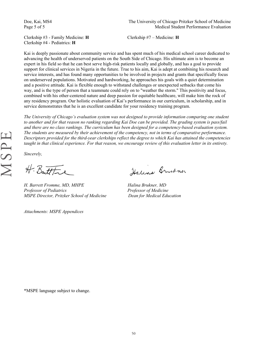Doe, Kai, MS4 Page 5 of 5

Clerkship #3 - Family Medicine: **H** Clerkship #7 – Medicine: **H** Clerkship #4 - Pediatrics: **H**

Kai is deeply passionate about community service and has spent much of his medical school career dedicated to advancing the health of underserved patients on the South Side of Chicago. His ultimate aim is to become an expert in his field so that he can best serve high-risk patients locally and globally, and has a goal to provide support for clinical services in Nigeria in the future. True to his aim, Kai is adept at combining his research and service interests, and has found many opportunities to be involved in projects and grants that specifically focus on underserved populations. Motivated and hardworking, he approaches his goals with a quiet determination and a positive attitude. Kai is flexible enough to withstand challenges or unexpected setbacks that come his way, and is the type of person that a teammate could rely on to "weather the storm." This positivity and focus, combined with his other-centered nature and deep passion for equitable healthcare, will make him the rock of any residency program. Our holistic evaluation of Kai's performance in our curriculum, in scholarship, and in service demonstrates that he is an excellent candidate for your residency training program.

*The University of Chicago's evaluation system was not designed to provide information comparing one student to another and for that reason no ranking regarding Kai Doe can be provided. The grading system is pass/fail and there are no class rankings. The curriculum has been designed for a competency-based evaluation system. The students are measured by their achievement of the competency, not in terms of comparative performance. Descriptors provided for the third-year clerkships reflect the degree to which Kai has attained the competencies taught in that clinical experience. For that reason, we encourage review of this evaluation letter in its entirety.* 

*Sincerely,* 

H. Bautttre

*H. Barrett Fromme, MD, MHPE Halina Brukner, MD Professor of Pediatrics Professor of Medicine MSPE Director, Pritzker School of Medicine Dean for Medical Education* 

*Attachments: MSPE Appendices* 

Halina Brukner

\*MSPE language subject to change.

MSPE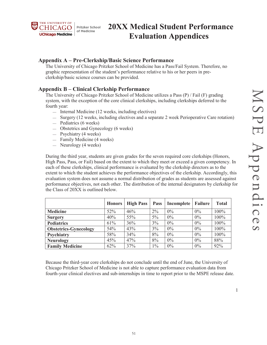1



# **20XX Medical Student Performance Evaluation Appendices**

### **Appendix A – Pre-Clerkship/Basic Science Performance**

The University of Chicago Pritzker School of Medicine has a Pass/Fail System. Therefore, no graphic representation of the student's performance relative to his or her peers in preclerkship/basic science courses can be provided.

### **Appendix B – Clinical Clerkship Performance**

The University of Chicago Pritzker School of Medicine utilizes a Pass (P) / Fail (F) grading system, with the exception of the core clinical clerkships, including clerkships deferred to the fourth year:

- $-$  Internal Medicine (12 weeks, including electives)
- Surgery (12 weeks, including electives and a separate 2 week Perioperative Care rotation)
- $-$  Pediatrics (6 weeks)
- Obstetrics and Gynecology (6 weeks)
- Psychiatry (4 weeks)
- Family Medicine (4 weeks)
- Neurology (4 weeks)

During the third year, students are given grades for the seven required core clerkships (Honors, High Pass, Pass, or Fail) based on the extent to which they meet or exceed a given competency. In each of these clerkships, clinical performance is evaluated by the clerkship directors as to the extent to which the student achieves the performance objectives of the clerkship. Accordingly, this evaluation system does not assume a normal distribution of grades as students are assessed against performance objectives, not each other. The distribution of the internal designators by clerkship for the Class of 20XX is outlined below.

|                              | <b>Honors</b> | <b>High Pass</b> | <b>Pass</b> | Incomplete | <b>Failure</b> | <b>Total</b> |
|------------------------------|---------------|------------------|-------------|------------|----------------|--------------|
| <b>Medicine</b>              | 52%           | 46%              | $2\%$       | 0%         | 0%             | 100%         |
| <b>Surgery</b>               | 40%           | 55%              | $5\%$       | 0%         | 0%             | 100%         |
| <b>Pediatrics</b>            | 61%           | 36%              | 3%          | 0%         | 0%             | 100%         |
| <b>Obstetrics-Gynecology</b> | 54%           | 43%              | 3%          | 0%         | 0%             | 100%         |
| <b>Psychiatry</b>            | 58%           | 34%              | 8%          | 0%         | 0%             | 100%         |
| <b>Neurology</b>             | 45%           | 47%              | 8%          | 0%         | 0%             | 88%          |
| <b>Family Medicine</b>       | 62%           | 37%              | $1\%$       | 0%         | 0%             | 92%          |

Because the third-year core clerkships do not conclude until the end of June, the University of Chicago Pritzker School of Medicine is not able to capture performance evaluation data from fourth-year clinical electives and sub-internships in time to report prior to the MSPE release date.

51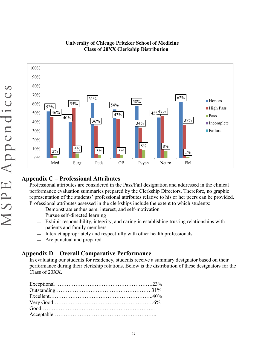

# **University of Chicago Pritzker School of Medicine Class of 20XX Clerkship Distribution**

### Professional attributes are considered in the Pass/Fail designation and addressed in the clinical performance evaluation summaries prepared by the Clerkship Directors. Therefore, no graphic representation of the students' professional attributes relative to his or her peers can be provided. Professional attributes assessed in the clerkships include the extent to which students:

**Honors** ■High Pass **Pass** 

**Incomplete Failure** 

- Demonstrate enthusiasm, interest, and self-motivation
- Pursue self-directed learning
- Exhibit responsibility, integrity, and caring in establishing trusting relationships with patients and family members
- Interact appropriately and respectfully with other health professionals
- Are punctual and prepared

# **Appendix D – Overall Comparative Performance**

In evaluating our students for residency, students receive a summary designator based on their performance during their clerkship rotations. Below is the distribution of these designators for the Class of 20XX.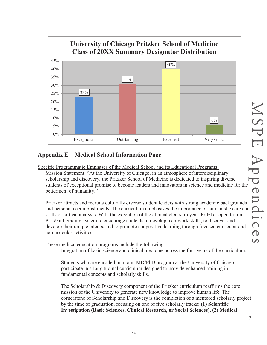

# **Appendix E – Medical School Information Page**

Specific Programmatic Emphases of the Medical School and its Educational Programs: Mission Statement: "At the University of Chicago, in an atmosphere of interdisciplinary scholarship and discovery, the Pritzker School of Medicine is dedicated to inspiring diverse students of exceptional promise to become leaders and innovators in science and medicine for the betterment of humanity."

Pritzker attracts and recruits culturally diverse student leaders with strong academic backgrounds skills of critical analysis. With the exception of the clinical clerkship year, Pritzker operates on a Pass/Fail grading system to encourage students to develop teamwork skills, to discover and develop their unique talents, and to promote cooperative learning through focused curricular and co-curricular activities.

These medical education programs include the following:

- Integration of basic science and clinical medicine across the four years of the curriculum.
- Students who are enrolled in a joint MD/PhD program at the University of Chicago participate in a longitudinal curriculum designed to provide enhanced training in fundamental concepts and scholarly skills.
- The Scholarship & Discovery component of the Pritzker curriculum reaffirms the core mission of the University to generate new knowledge to improve human life. The cornerstone of Scholarship and Discovery is the completion of a mentored scholarly project by the time of graduation, focusing on one of five scholarly tracks: **(1) Scientific Investigation (Basic Sciences, Clinical Research, or Social Sciences), (2) Medical**

3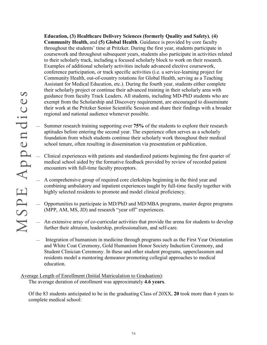**Education, (3) Healthcare Delivery Sciences (formerly Quality and Safety)**, **(4) Community Health,** and **(5) Global Health**. Guidance is provided by core faculty throughout the students' time at Pritzker. During the first year, students participate in coursework and throughout subsequent years, students also participate in activities related to their scholarly track, including a focused scholarly block to work on their research. Examples of additional scholarly activities include advanced elective coursework, conference participation, or track specific activities (i.e. a service-learning project for Community Health, out-of-country rotations for Global Health, serving as a Teaching Assistant for Medical Education, etc.). During the fourth year, students either complete their scholarly project or continue their advanced training in their scholarly area with guidance from faculty Track Leaders. All students, including MD-PhD students who are exempt from the Scholarship and Discovery requirement, are encouraged to disseminate their work at the Pritzker Senior Scientific Session and share their findings with a broader regional and national audience whenever possible.

- Summer research training supporting over **75%** of the students to explore their research aptitudes before entering the second year. The experience often serves as a scholarly foundation from which students continue their scholarly work throughout their medical school tenure, often resulting in dissemination via presentation or publication.
	- Clinical experiences with patients and standardized patients beginning the first quarter of medical school aided by the formative feedback provided by review of recorded patient encounters with full-time faculty preceptors.
	- A comprehensive group of required core clerkships beginning in the third year and combining ambulatory and inpatient experiences taught by full-time faculty together with highly selected residents to promote and model clinical proficiency.
	- Opportunities to participate in MD/PhD and MD/MBA programs, master degree programs (MPP, AM, MS, JD) and research "year off" experiences.
	- An extensive array of co-curricular activities that provide the arena for students to develop further their altruism, leadership, professionalism, and self-care.
	- $\equiv$  Integration of humanism in medicine through programs such as the First Year Orientation and White Coat Ceremony, Gold Humanism Honor Society Induction Ceremony, and Student Clinician Ceremony. In these and other student programs, upperclassmen and residents model a mentoring demeanor promoting collegial approaches to medical education.

Average Length of Enrollment (Initial Matriculation to Graduation): The average duration of enrollment was approximately **4.6 years**.

Of the 83 students anticipated to be in the graduating Class of 20XX, **20** took more than 4 years to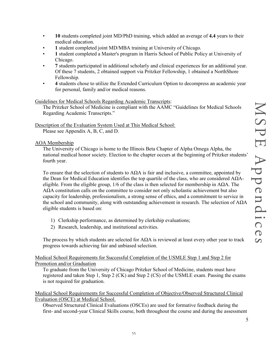5

- **10** students completed joint MD/PhD training, which added an average of **4.4** years to their medical education.
- **1** student completed joint MD/MBA training at University of Chicago.
- **1** student completed a Master's program in Harris School of Public Policy at University of Chicago.
- **7** students participated in additional scholarly and clinical experiences for an additional year. Of these 7 students, 2 obtained support via Pritzker Fellowship, 1 obtained a NorthShore Fellowship.
- **4** students chose to utilize the Extended Curriculum Option to decompress an academic year for personal, family and/or medical reasons.

### Guidelines for Medical Schools Regarding Academic Transcripts:

The Pritzker School of Medicine is compliant with the AAMC "Guidelines for Medical Schools Regarding Academic Transcripts."

Description of the Evaluation System Used at This Medical School: Please see Appendix A, B, C, and D.

### AOA Membership

The University of Chicago is home to the Illinois Beta Chapter of Alpha Omega Alpha, the national medical honor society. Election to the chapter occurs at the beginning of Pritzker students' fourth year.

To ensure that the selection of students to  $A\Omega A$  is fair and inclusive, a committee, appointed by the Dean for Medical Education identifies the top quartile of the class, who are considered  $A\Omega A$ eligible. From the eligible group,  $1/6$  of the class is then selected for membership in A $\Omega$ A. The AΩA constitution calls on the committee to consider not only scholastic achievement but also capacity for leadership, professionalism, a strong sense of ethics, and a commitment to service in the school and community, along with outstanding achievement in research. The selection of  $A\Omega A$ eligible students is based on:

- 1) Clerkship performance, as determined by clerkship evaluations;
- 2) Research, leadership, and institutional activities.

The process by which students are selected for  $A\Omega A$  is reviewed at least every other year to track progress towards achieving fair and unbiased selection.

Medical School Requirements for Successful Completion of the USMLE Step 1 and Step 2 for Promotion and/or Graduation

To graduate from the University of Chicago Pritzker School of Medicine, students must have registered and taken Step 1, Step 2 (CK) and Step 2 (CS) of the USMLE exam. Passing the exams is not required for graduation.

### Medical School Requirements for Successful Completion of Objective/Observed Structured Clinical Evaluation (OSCE) at Medical School.

Observed Structured Clinical Evaluations (OSCEs) are used for formative feedback during the first- and second-year Clinical Skills course, both throughout the course and during the assessment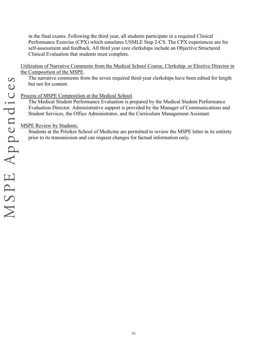in the final exams. Following the third year, all students participate in a required Clinical Performance Exercise (CPX) which simulates USMLE Step 2-CS. The CPX experiences are for self-assessment and feedback. All third year core clerkships include an Objective Structured Clinical Evaluation that students must complete.

Utilization of Narrative Comments from the Medical School Course, Clerkship, or Elective Director in the Composition of the MSPE.

The narrative comments from the seven required third-year clerkships have been edited for length but not for content.

### Process of MSPE Composition at the Medical School.

The Medical Student Performance Evaluation is prepared by the Medical Student Performance Evaluation Director. Administrative support is provided by the Manager of Communications and Student Services, the Office Administrator, and the Curriculum Management Assistant.

### MSPE Review by Students.

Students at the Pritzker School of Medicine are permitted to review the MSPE letter in its entirety prior to its transmission and can request changes for factual information only.